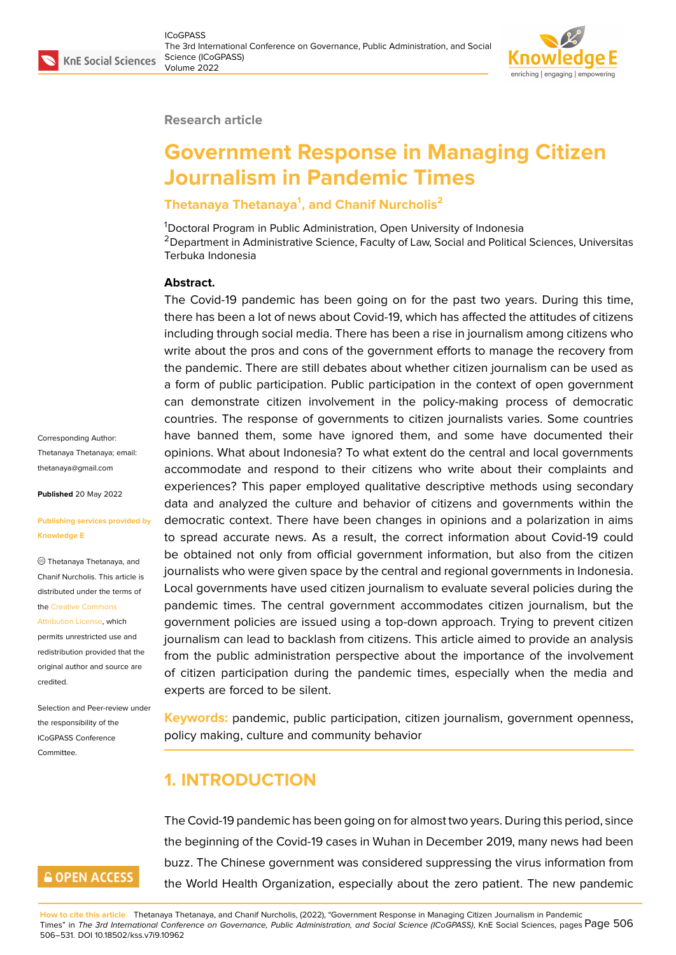#### **Research article**

# **Government Response in Managing Citizen Journalism in Pandemic Times**

# **Thetanaya Thetanaya<sup>1</sup> , and Chanif Nurcholis<sup>2</sup>**

<sup>1</sup>Doctoral Program in Public Administration, Open University of Indonesia <sup>2</sup> Department in Administrative Science, Faculty of Law, Social and Political Sciences, Universitas Terbuka Indonesia

#### **Abstract.**

The Covid-19 pandemic has been going on for the past two years. During this time, there has been a lot of news about Covid-19, which has affected the attitudes of citizens including through social media. There has been a rise in journalism among citizens who write about the pros and cons of the government efforts to manage the recovery from the pandemic. There are still debates about whether citizen journalism can be used as a form of public participation. Public participation in the context of open government can demonstrate citizen involvement in the policy-making process of democratic countries. The response of governments to citizen journalists varies. Some countries have banned them, some have ignored them, and some have documented their opinions. What about Indonesia? To what extent do the central and local governments accommodate and respond to their citizens who write about their complaints and experiences? This paper employed qualitative descriptive methods using secondary data and analyzed the culture and behavior of citizens and governments within the democratic context. There have been changes in opinions and a polarization in aims to spread accurate news. As a result, the correct information about Covid-19 could be obtained not only from official government information, but also from the citizen journalists who were given space by the central and regional governments in Indonesia. Local governments have used citizen journalism to evaluate several policies during the pandemic times. The central government accommodates citizen journalism, but the government policies are issued using a top-down approach. Trying to prevent citizen journalism can lead to backlash from citizens. This article aimed to provide an analysis from the public administration perspective about the importance of the involvement of citizen participation during the pandemic times, especially when the media and experts are forced to be silent.

**Keywords:** pandemic, public participation, citizen journalism, government openness, policy making, culture and community behavior

# **1. INTRODUCTION**

The Covid-19 pandemic has been going on for almost two years. During this period, since the beginning of the Covid-19 cases in Wuhan in December 2019, many news had been buzz. The Chinese government was considered suppressing the virus information from the World Health Organization, especially about the zero patient. The new pandemic

**How to cite this article**: Thetanaya Thetanaya, and Chanif Nurcholis, (2022), "Government Response in Managing Citizen Journalism in Pandemic Times" in *The 3rd International Conference on Governance, Public Administration, and Social Science (ICoGPASS)*, KnE Social Sciences, pages Page 506 506–531. DOI 10.18502/kss.v7i9.10962

Corresponding Author: Thetanaya Thetanaya; email: thetanaya@gmail.com

**Published** 20 May 2022

#### **[Publishing services pr](mailto:thetanaya@gmail.com)ovided by Knowledge E**

Thetanaya Thetanaya, and Chanif Nurcholis. This article is distributed under the terms of the Creative Commons

Attribution License, which permits unrestricted use and redistribution provided that the orig[inal author and sou](https://creativecommons.org/licenses/by/4.0/)rce are [credited.](https://creativecommons.org/licenses/by/4.0/)

Selection and Peer-review under the responsibility of the ICoGPASS Conference Committee.

# **GOPEN ACCESS**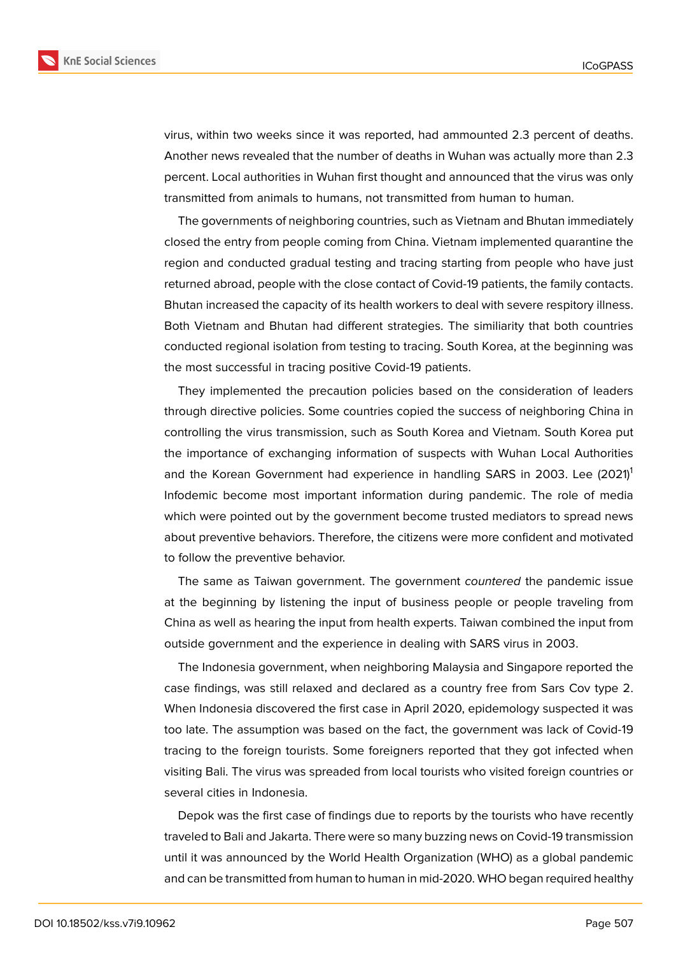

virus, within two weeks since it was reported, had ammounted 2.3 percent of deaths. Another news revealed that the number of deaths in Wuhan was actually more than 2.3 percent. Local authorities in Wuhan first thought and announced that the virus was only transmitted from animals to humans, not transmitted from human to human.

The governments of neighboring countries, such as Vietnam and Bhutan immediately closed the entry from people coming from China. Vietnam implemented quarantine the region and conducted gradual testing and tracing starting from people who have just returned abroad, people with the close contact of Covid-19 patients, the family contacts. Bhutan increased the capacity of its health workers to deal with severe respitory illness. Both Vietnam and Bhutan had different strategies. The similiarity that both countries conducted regional isolation from testing to tracing. South Korea, at the beginning was the most successful in tracing positive Covid-19 patients.

They implemented the precaution policies based on the consideration of leaders through directive policies. Some countries copied the success of neighboring China in controlling the virus transmission, such as South Korea and Vietnam. South Korea put the importance of exchanging information of suspects with Wuhan Local Authorities and the Korean Government had experience in handling SARS in 2003. Lee  $(2021)^1$ Infodemic become most important information during pandemic. The role of media which were pointed out by the government become trusted mediators to spread news about preventive behaviors. Therefore, the citizens were more confident and motivated to follow the preventive behavior.

The same as Taiwan government. The government *countered* the pandemic issue at the beginning by listening the input of business people or people traveling from China as well as hearing the input from health experts. Taiwan combined the input from outside government and the experience in dealing with SARS virus in 2003.

The Indonesia government, when neighboring Malaysia and Singapore reported the case findings, was still relaxed and declared as a country free from Sars Cov type 2. When Indonesia discovered the first case in April 2020, epidemology suspected it was too late. The assumption was based on the fact, the government was lack of Covid-19 tracing to the foreign tourists. Some foreigners reported that they got infected when visiting Bali. The virus was spreaded from local tourists who visited foreign countries or several cities in Indonesia.

Depok was the first case of findings due to reports by the tourists who have recently traveled to Bali and Jakarta. There were so many buzzing news on Covid-19 transmission until it was announced by the World Health Organization (WHO) as a global pandemic and can be transmitted from human to human in mid-2020. WHO began required healthy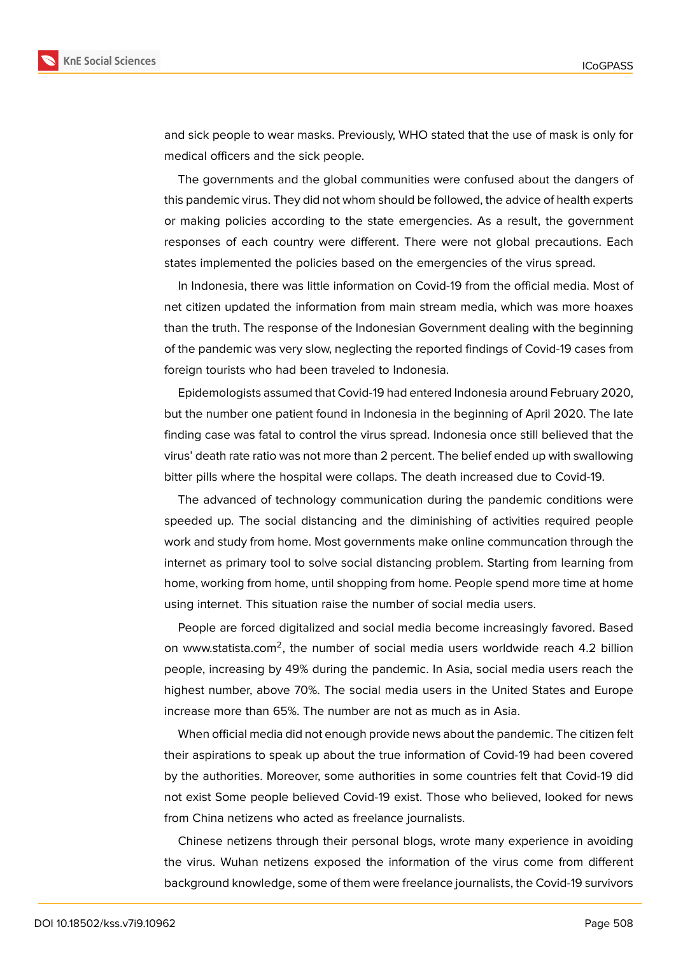

and sick people to wear masks. Previously, WHO stated that the use of mask is only for medical officers and the sick people.

The governments and the global communities were confused about the dangers of this pandemic virus. They did not whom should be followed, the advice of health experts or making policies according to the state emergencies. As a result, the government responses of each country were different. There were not global precautions. Each states implemented the policies based on the emergencies of the virus spread.

In Indonesia, there was little information on Covid-19 from the official media. Most of net citizen updated the information from main stream media, which was more hoaxes than the truth. The response of the Indonesian Government dealing with the beginning of the pandemic was very slow, neglecting the reported findings of Covid-19 cases from foreign tourists who had been traveled to Indonesia.

Epidemologists assumed that Covid-19 had entered Indonesia around February 2020, but the number one patient found in Indonesia in the beginning of April 2020. The late finding case was fatal to control the virus spread. Indonesia once still believed that the virus' death rate ratio was not more than 2 percent. The belief ended up with swallowing bitter pills where the hospital were collaps. The death increased due to Covid-19.

The advanced of technology communication during the pandemic conditions were speeded up. The social distancing and the diminishing of activities required people work and study from home. Most governments make online communcation through the internet as primary tool to solve social distancing problem. Starting from learning from home, working from home, until shopping from home. People spend more time at home using internet. This situation raise the number of social media users.

People are forced digitalized and social media become increasingly favored. Based on www.statista.com<sup>2</sup>, the number of social media users worldwide reach 4.2 billion people, increasing by 49% during the pandemic. In Asia, social media users reach the highest number, above 70%. The social media users in the United States and Europe increase more than 65%. The number are not as much as in Asia.

When official media did not enough provide news about the pandemic. The citizen felt their aspirations to speak up about the true information of Covid-19 had been covered by the authorities. Moreover, some authorities in some countries felt that Covid-19 did not exist Some people believed Covid-19 exist. Those who believed, looked for news from China netizens who acted as freelance journalists.

Chinese netizens through their personal blogs, wrote many experience in avoiding the virus. Wuhan netizens exposed the information of the virus come from different background knowledge, some of them were freelance journalists, the Covid-19 survivors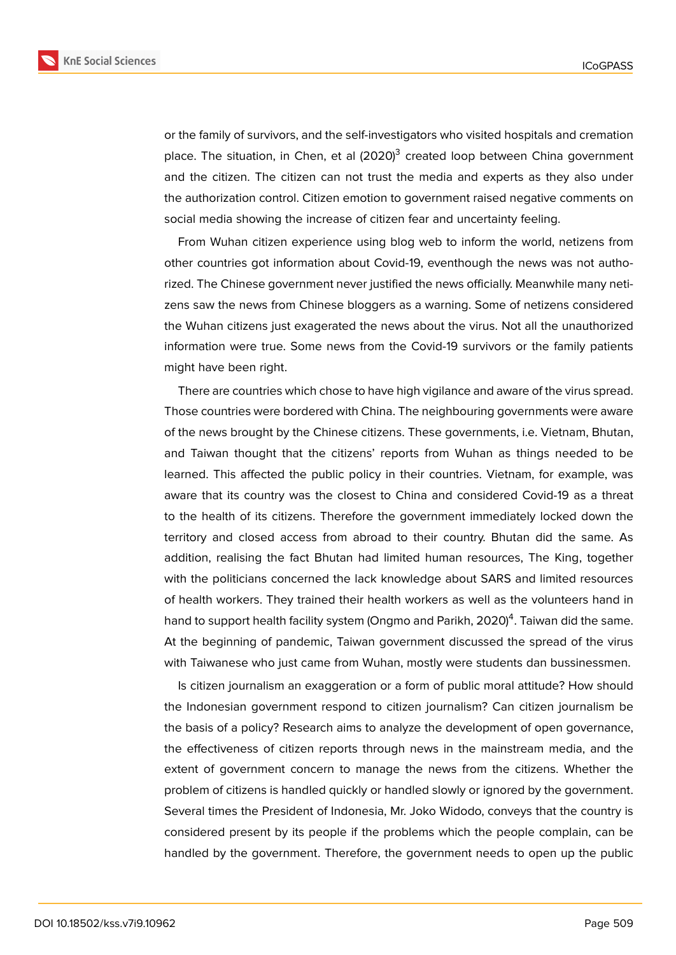

or the family of survivors, and the self-investigators who visited hospitals and cremation place. The situation, in Chen, et al (2020)<sup>3</sup> created loop between China government and the citizen. The citizen can not trust the media and experts as they also under the authorization control. Citizen emotion to government raised negative comments on social media showing the increase of citizen fear and uncertainty feeling.

From Wuhan citizen experience using blog web to inform the world, netizens from other countries got information about Covid-19, eventhough the news was not authorized. The Chinese government never justified the news officially. Meanwhile many netizens saw the news from Chinese bloggers as a warning. Some of netizens considered the Wuhan citizens just exagerated the news about the virus. Not all the unauthorized information were true. Some news from the Covid-19 survivors or the family patients might have been right.

There are countries which chose to have high vigilance and aware of the virus spread. Those countries were bordered with China. The neighbouring governments were aware of the news brought by the Chinese citizens. These governments, i.e. Vietnam, Bhutan, and Taiwan thought that the citizens' reports from Wuhan as things needed to be learned. This affected the public policy in their countries. Vietnam, for example, was aware that its country was the closest to China and considered Covid-19 as a threat to the health of its citizens. Therefore the government immediately locked down the territory and closed access from abroad to their country. Bhutan did the same. As addition, realising the fact Bhutan had limited human resources, The King, together with the politicians concerned the lack knowledge about SARS and limited resources of health workers. They trained their health workers as well as the volunteers hand in hand to support health facility system (Ongmo and Parikh, 2020) $^4$ . Taiwan did the same. At the beginning of pandemic, Taiwan government discussed the spread of the virus with Taiwanese who just came from Wuhan, mostly were students dan bussinessmen.

Is citizen journalism an exaggeration or a form of public moral attitude? How should the Indonesian government respond to citizen journalism? Can citizen journalism be the basis of a policy? Research aims to analyze the development of open governance, the effectiveness of citizen reports through news in the mainstream media, and the extent of government concern to manage the news from the citizens. Whether the problem of citizens is handled quickly or handled slowly or ignored by the government. Several times the President of Indonesia, Mr. Joko Widodo, conveys that the country is considered present by its people if the problems which the people complain, can be handled by the government. Therefore, the government needs to open up the public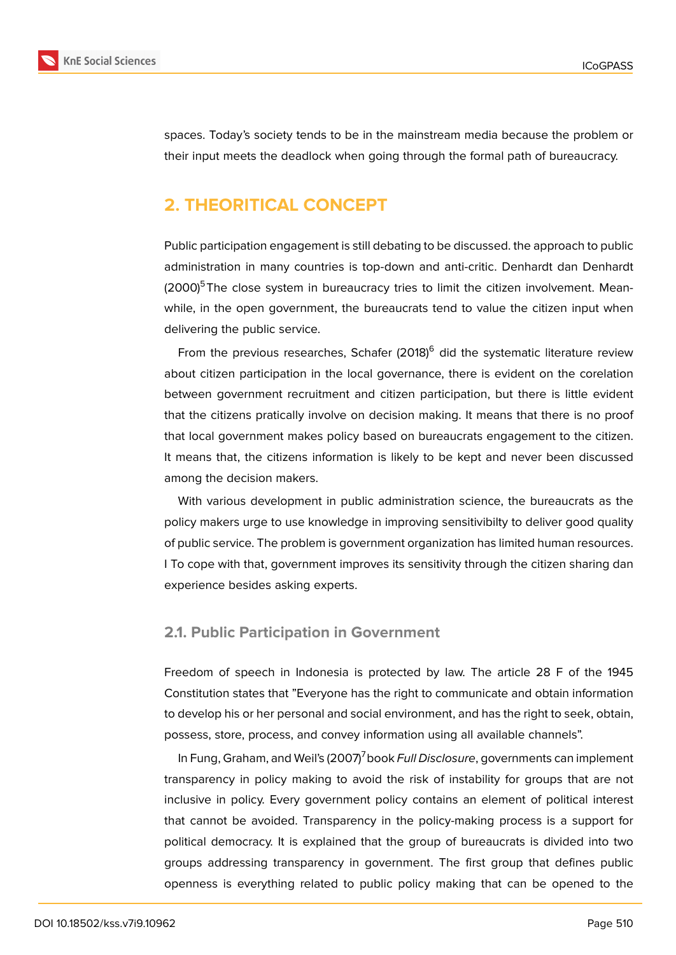

spaces. Today's society tends to be in the mainstream media because the problem or their input meets the deadlock when going through the formal path of bureaucracy.

# **2. THEORITICAL CONCEPT**

Public participation engagement is still debating to be discussed. the approach to public administration in many countries is top-down and anti-critic. Denhardt dan Denhardt  $(2000)^5$ The close system in bureaucracy tries to limit the citizen involvement. Meanwhile, in the open government, the bureaucrats tend to value the citizen input when delivering the public service.

From the previous researches, Schafer  $(2018)^6$  did the systematic literature review about citizen participation in the local governance, there is evident on the corelation between government recruitment and citizen participation, but there is little evident that the citizens pratically involve on decision making. It means that there is no proof that local government makes policy based on bureaucrats engagement to the citizen. It means that, the citizens information is likely to be kept and never been discussed among the decision makers.

With various development in public administration science, the bureaucrats as the policy makers urge to use knowledge in improving sensitivibilty to deliver good quality of public service. The problem is government organization has limited human resources. I To cope with that, government improves its sensitivity through the citizen sharing dan experience besides asking experts.

#### **2.1. Public Participation in Government**

Freedom of speech in Indonesia is protected by law. The article 28 F of the 1945 Constitution states that "Everyone has the right to communicate and obtain information to develop his or her personal and social environment, and has the right to seek, obtain, possess, store, process, and convey information using all available channels".

In Fung, Graham, and Weil's (2007)<sup>7</sup> book *Full Disclosure*, governments can implement transparency in policy making to avoid the risk of instability for groups that are not inclusive in policy. Every government policy contains an element of political interest that cannot be avoided. Transparency in the policy-making process is a support for political democracy. It is explained that the group of bureaucrats is divided into two groups addressing transparency in government. The first group that defines public openness is everything related to public policy making that can be opened to the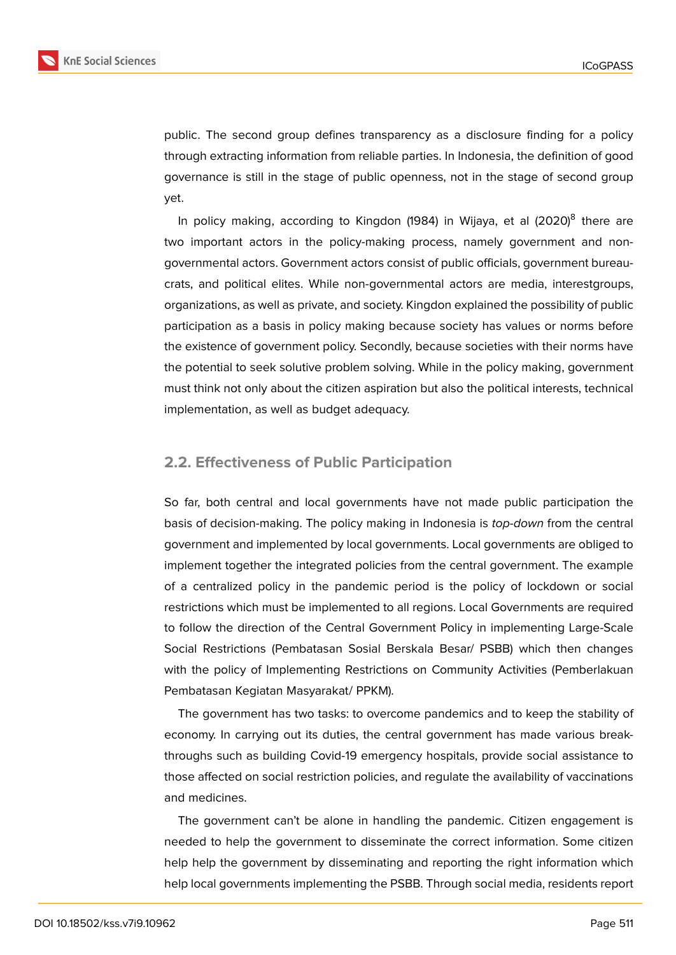

public. The second group defines transparency as a disclosure finding for a policy through extracting information from reliable parties. In Indonesia, the definition of good governance is still in the stage of public openness, not in the stage of second group yet.

In policy making, according to Kingdon (1984) in Wijaya, et al (2020)<sup>8</sup> there are two important actors in the policy-making process, namely government and nongovernmental actors. Government actors consist of public officials, government bureaucrats, and political elites. While non-governmental actors are media, interestgroups, organizations, as well as private, and society. Kingdon explained the possibility of public participation as a basis in policy making because society has values or norms before the existence of government policy. Secondly, because societies with their norms have the potential to seek solutive problem solving. While in the policy making, government must think not only about the citizen aspiration but also the political interests, technical implementation, as well as budget adequacy.

### **2.2. Effectiveness of Public Participation**

So far, both central and local governments have not made public participation the basis of decision-making. The policy making in Indonesia is *top-down* from the central government and implemented by local governments. Local governments are obliged to implement together the integrated policies from the central government. The example of a centralized policy in the pandemic period is the policy of lockdown or social restrictions which must be implemented to all regions. Local Governments are required to follow the direction of the Central Government Policy in implementing Large-Scale Social Restrictions (Pembatasan Sosial Berskala Besar/ PSBB) which then changes with the policy of Implementing Restrictions on Community Activities (Pemberlakuan Pembatasan Kegiatan Masyarakat/ PPKM).

The government has two tasks: to overcome pandemics and to keep the stability of economy. In carrying out its duties, the central government has made various breakthroughs such as building Covid-19 emergency hospitals, provide social assistance to those affected on social restriction policies, and regulate the availability of vaccinations and medicines.

The government can't be alone in handling the pandemic. Citizen engagement is needed to help the government to disseminate the correct information. Some citizen help help the government by disseminating and reporting the right information which help local governments implementing the PSBB. Through social media, residents report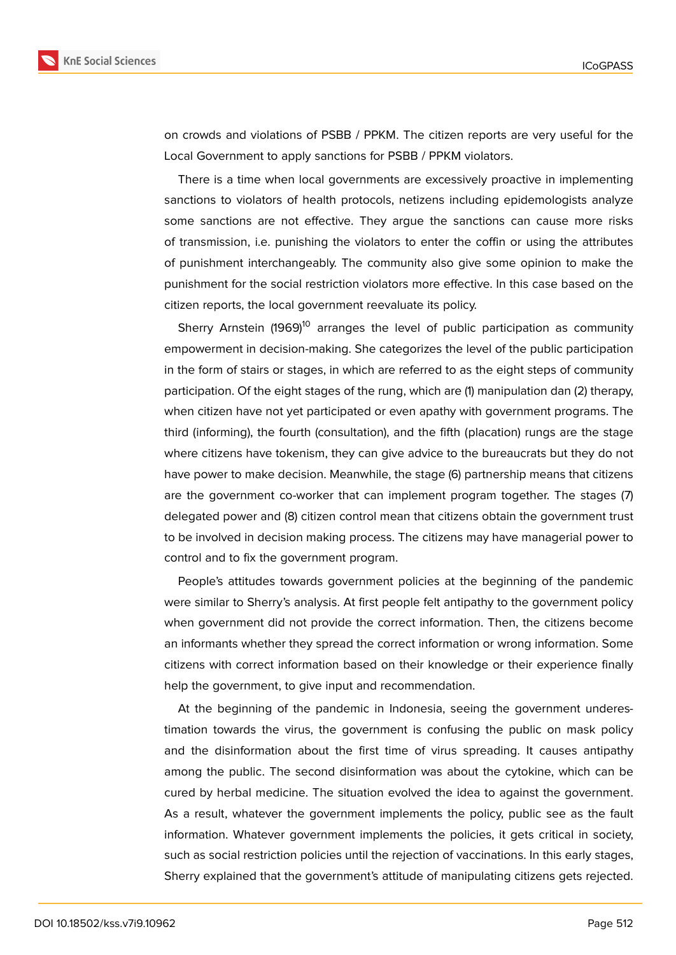

on crowds and violations of PSBB / PPKM. The citizen reports are very useful for the Local Government to apply sanctions for PSBB / PPKM violators.

There is a time when local governments are excessively proactive in implementing sanctions to violators of health protocols, netizens including epidemologists analyze some sanctions are not effective. They argue the sanctions can cause more risks of transmission, i.e. punishing the violators to enter the coffin or using the attributes of punishment interchangeably. The community also give some opinion to make the punishment for the social restriction violators more effective. In this case based on the citizen reports, the local government reevaluate its policy.

Sherry Arnstein (1969)<sup>10</sup> arranges the level of public participation as community empowerment in decision-making. She categorizes the level of the public participation in the form of stairs or stages, in which are referred to as the eight steps of community participation. Of the eight stages of the rung, which are (1) manipulation dan (2) therapy, when citizen have not yet participated or even apathy with government programs. The third (informing), the fourth (consultation), and the fifth (placation) rungs are the stage where citizens have tokenism, they can give advice to the bureaucrats but they do not have power to make decision. Meanwhile, the stage (6) partnership means that citizens are the government co-worker that can implement program together. The stages (7) delegated power and (8) citizen control mean that citizens obtain the government trust to be involved in decision making process. The citizens may have managerial power to control and to fix the government program.

People's attitudes towards government policies at the beginning of the pandemic were similar to Sherry's analysis. At first people felt antipathy to the government policy when government did not provide the correct information. Then, the citizens become an informants whether they spread the correct information or wrong information. Some citizens with correct information based on their knowledge or their experience finally help the government, to give input and recommendation.

At the beginning of the pandemic in Indonesia, seeing the government underestimation towards the virus, the government is confusing the public on mask policy and the disinformation about the first time of virus spreading. It causes antipathy among the public. The second disinformation was about the cytokine, which can be cured by herbal medicine. The situation evolved the idea to against the government. As a result, whatever the government implements the policy, public see as the fault information. Whatever government implements the policies, it gets critical in society, such as social restriction policies until the rejection of vaccinations. In this early stages, Sherry explained that the government's attitude of manipulating citizens gets rejected.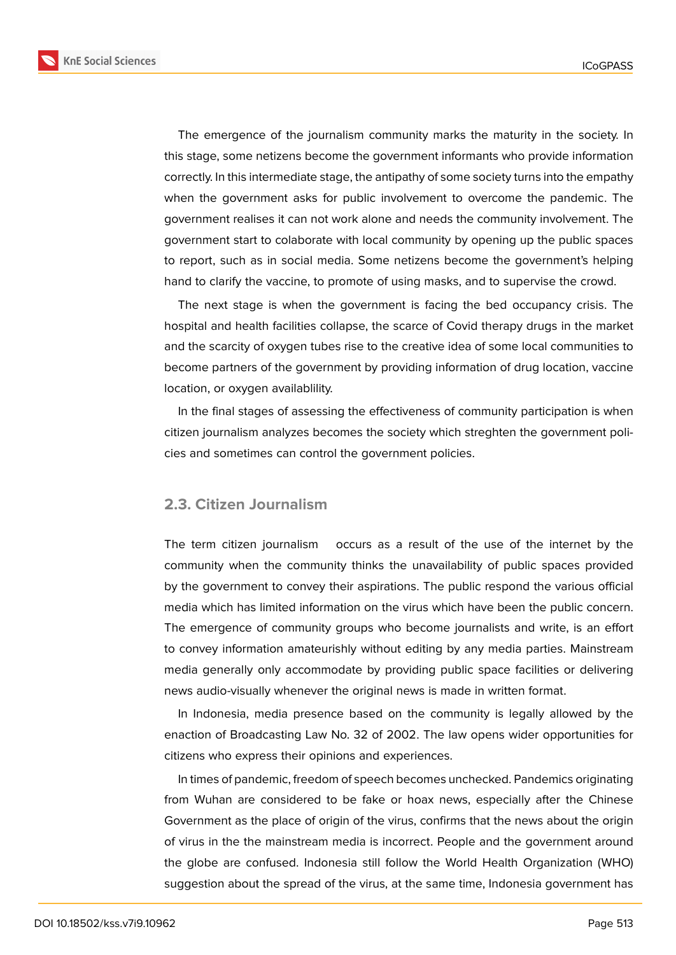

The emergence of the journalism community marks the maturity in the society. In this stage, some netizens become the government informants who provide information correctly. In this intermediate stage, the antipathy of some society turns into the empathy when the government asks for public involvement to overcome the pandemic. The government realises it can not work alone and needs the community involvement. The government start to colaborate with local community by opening up the public spaces to report, such as in social media. Some netizens become the government's helping hand to clarify the vaccine, to promote of using masks, and to supervise the crowd.

The next stage is when the government is facing the bed occupancy crisis. The hospital and health facilities collapse, the scarce of Covid therapy drugs in the market and the scarcity of oxygen tubes rise to the creative idea of some local communities to become partners of the government by providing information of drug location, vaccine location, or oxygen availablility.

In the final stages of assessing the effectiveness of community participation is when citizen journalism analyzes becomes the society which streghten the government policies and sometimes can control the government policies.

#### **2.3. Citizen Journalism**

The term citizen journalism occurs as a result of the use of the internet by the community when the community thinks the unavailability of public spaces provided by the government to convey their aspirations. The public respond the various official media which has limited information on the virus which have been the public concern. The emergence of community groups who become journalists and write, is an effort to convey information amateurishly without editing by any media parties. Mainstream media generally only accommodate by providing public space facilities or delivering news audio-visually whenever the original news is made in written format.

In Indonesia, media presence based on the community is legally allowed by the enaction of Broadcasting Law No. 32 of 2002. The law opens wider opportunities for citizens who express their opinions and experiences.

In times of pandemic, freedom of speech becomes unchecked. Pandemics originating from Wuhan are considered to be fake or hoax news, especially after the Chinese Government as the place of origin of the virus, confirms that the news about the origin of virus in the the mainstream media is incorrect. People and the government around the globe are confused. Indonesia still follow the World Health Organization (WHO) suggestion about the spread of the virus, at the same time, Indonesia government has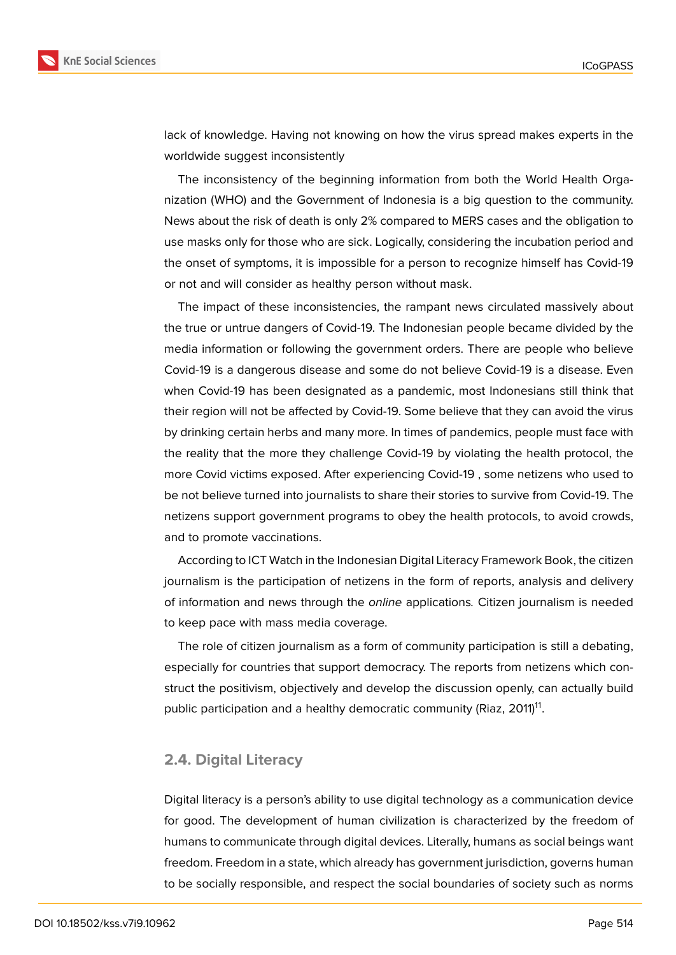

lack of knowledge. Having not knowing on how the virus spread makes experts in the worldwide suggest inconsistently

The inconsistency of the beginning information from both the World Health Organization (WHO) and the Government of Indonesia is a big question to the community. News about the risk of death is only 2% compared to MERS cases and the obligation to use masks only for those who are sick. Logically, considering the incubation period and the onset of symptoms, it is impossible for a person to recognize himself has Covid-19 or not and will consider as healthy person without mask.

The impact of these inconsistencies, the rampant news circulated massively about the true or untrue dangers of Covid-19. The Indonesian people became divided by the media information or following the government orders. There are people who believe Covid-19 is a dangerous disease and some do not believe Covid-19 is a disease. Even when Covid-19 has been designated as a pandemic, most Indonesians still think that their region will not be affected by Covid-19. Some believe that they can avoid the virus by drinking certain herbs and many more. In times of pandemics, people must face with the reality that the more they challenge Covid-19 by violating the health protocol, the more Covid victims exposed. After experiencing Covid-19 , some netizens who used to be not believe turned into journalists to share their stories to survive from Covid-19. The netizens support government programs to obey the health protocols, to avoid crowds, and to promote vaccinations.

According to ICT Watch in the Indonesian Digital Literacy Framework Book, the citizen journalism is the participation of netizens in the form of reports, analysis and delivery of information and news through the *online* applications*.* Citizen journalism is needed to keep pace with mass media coverage.

The role of citizen journalism as a form of community participation is still a debating, especially for countries that support democracy. The reports from netizens which construct the positivism, objectively and develop the discussion openly, can actually build public participation and a healthy democratic community (Riaz, 2011) $^{\mathsf{11}}$ .

#### **2.4. Digital Literacy**

Digital literacy is a person's ability to use digital technology as a communication device for good. The development of human civilization is characterized by the freedom of humans to communicate through digital devices. Literally, humans as social beings want freedom. Freedom in a state, which already has government jurisdiction, governs human to be socially responsible, and respect the social boundaries of society such as norms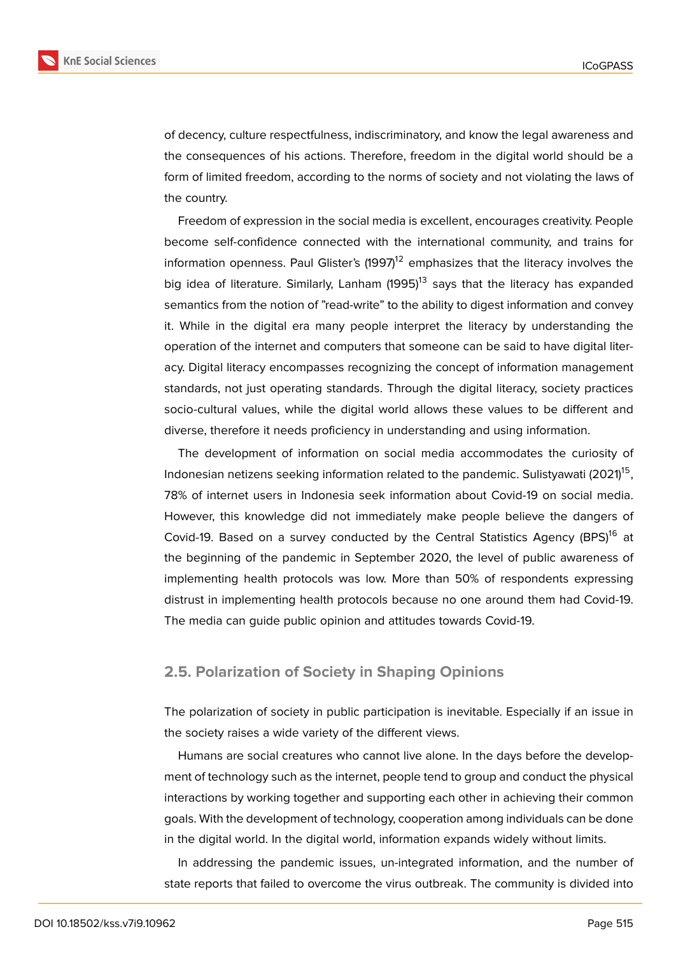

of decency, culture respectfulness, indiscriminatory, and know the legal awareness and the consequences of his actions. Therefore, freedom in the digital world should be a form of limited freedom, according to the norms of society and not violating the laws of the country.

Freedom of expression in the social media is excellent, encourages creativity. People become self-confidence connected with the international community, and trains for information openness. Paul Glister's  $(1997)^{12}$  emphasizes that the literacy involves the big idea of literature. Similarly, Lanham  $(1995)^{13}$  says that the literacy has expanded semantics from the notion of "read-write" to the ability to digest information and convey it. While in the digital era many people interpret the literacy by understanding the operation of the internet and computers that someone can be said to have digital literacy. Digital literacy encompasses recognizing the concept of information management standards, not just operating standards. Through the digital literacy, society practices socio-cultural values, while the digital world allows these values to be different and diverse, therefore it needs proficiency in understanding and using information.

The development of information on social media accommodates the curiosity of Indonesian netizens seeking information related to the pandemic. Sulistyawati (2021) $^{\rm 15}$ , 78% of internet users in Indonesia seek information about Covid-19 on social media. However, this knowledge did not immediately make people believe the dangers of Covid-19. Based on a survey conducted by the Central Statistics Agency (BPS)<sup>16</sup> at the beginning of the pandemic in September 2020, the level of public awareness of implementing health protocols was low. More than 50% of respondents expressing distrust in implementing health protocols because no one around them had Covid-19. The media can guide public opinion and attitudes towards Covid-19.

#### **2.5. Polarization of Society in Shaping Opinions**

The polarization of society in public participation is inevitable. Especially if an issue in the society raises a wide variety of the different views.

Humans are social creatures who cannot live alone. In the days before the development of technology such as the internet, people tend to group and conduct the physical interactions by working together and supporting each other in achieving their common goals. With the development of technology, cooperation among individuals can be done in the digital world. In the digital world, information expands widely without limits.

In addressing the pandemic issues, un-integrated information, and the number of state reports that failed to overcome the virus outbreak. The community is divided into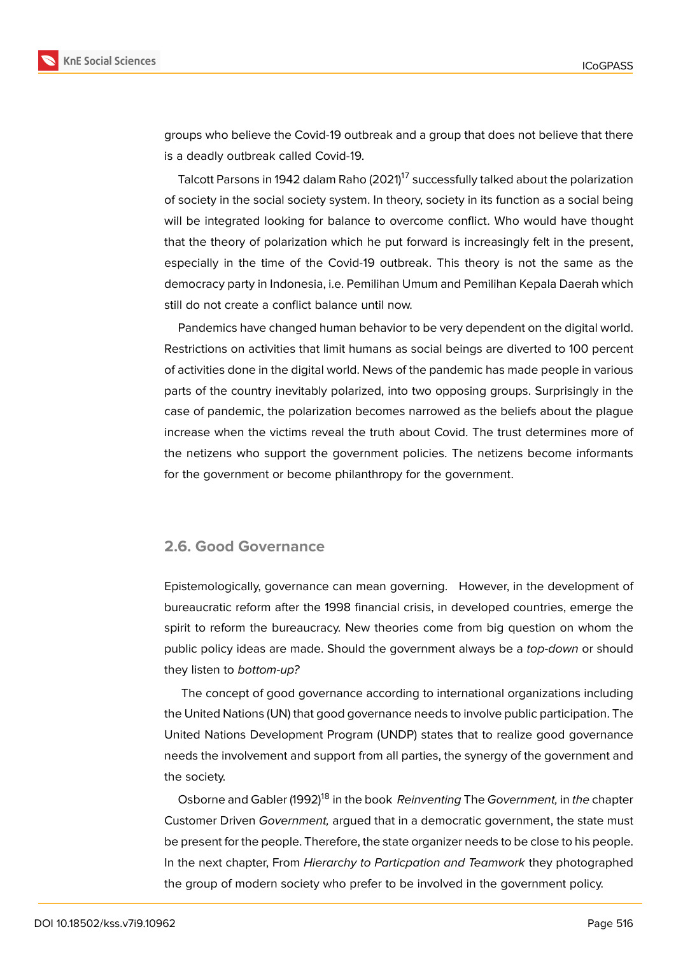



groups who believe the Covid-19 outbreak and a group that does not believe that there is a deadly outbreak called Covid-19.

Talcott Parsons in 1942 dalam Raho (2021)<sup>17</sup> successfully talked about the polarization of society in the social society system. In theory, society in its function as a social being will be integrated looking for balance to overcome conflict. Who would have thought that the theory of polarization which he put forward is increasingly felt in the present, especially in the time of the Covid-19 outbreak. This theory is not the same as the democracy party in Indonesia, i.e. Pemilihan Umum and Pemilihan Kepala Daerah which still do not create a conflict balance until now.

Pandemics have changed human behavior to be very dependent on the digital world. Restrictions on activities that limit humans as social beings are diverted to 100 percent of activities done in the digital world. News of the pandemic has made people in various parts of the country inevitably polarized, into two opposing groups. Surprisingly in the case of pandemic, the polarization becomes narrowed as the beliefs about the plague increase when the victims reveal the truth about Covid. The trust determines more of the netizens who support the government policies. The netizens become informants for the government or become philanthropy for the government.

## **2.6. Good Governance**

Epistemologically, governance can mean governing. However, in the development of bureaucratic reform after the 1998 financial crisis, in developed countries, emerge the spirit to reform the bureaucracy. New theories come from big question on whom the public policy ideas are made. Should the government always be a *top-down* or should they listen to *bottom-up?*

The concept of good governance according to international organizations including the United Nations (UN) that good governance needs to involve public participation. The United Nations Development Program (UNDP) states that to realize good governance needs the involvement and support from all parties, the synergy of the government and the society.

Osborne and Gabler (1992)<sup>18</sup> in the book *Reinventing* The *Government,* in *the* chapter Customer Driven *Government,* argued that in a democratic government, the state must be present for the people. Therefore, the state organizer needs to be close to his people. In the next chapter, From *Hierarchy to Particpation and Teamwork* they photographed the group of modern society who prefer to be involved in the government policy.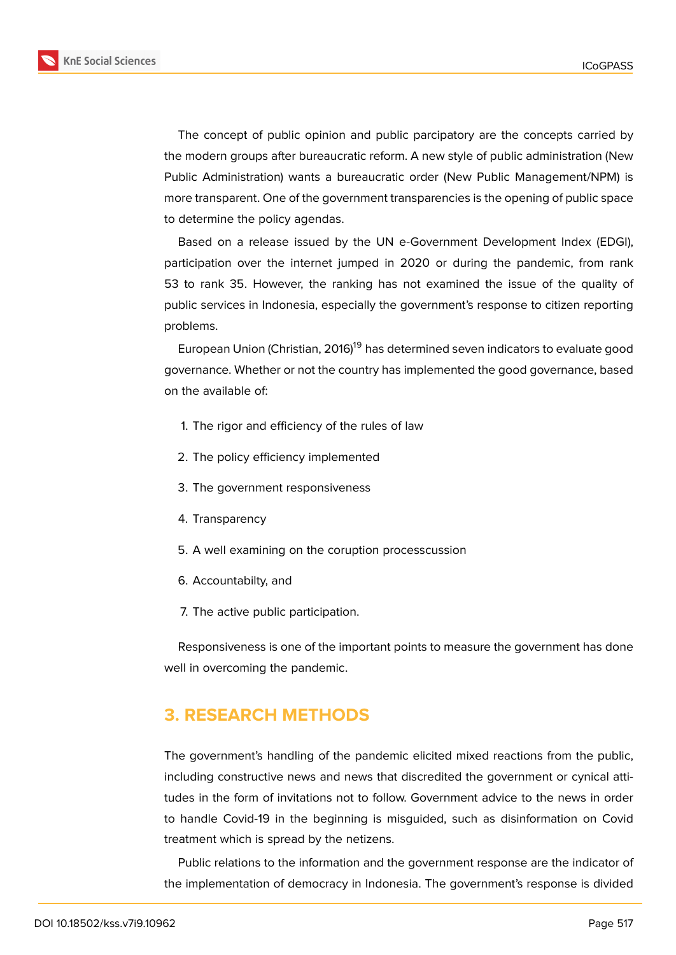

The concept of public opinion and public parcipatory are the concepts carried by the modern groups after bureaucratic reform. A new style of public administration (New Public Administration) wants a bureaucratic order (New Public Management/NPM) is more transparent. One of the government transparencies is the opening of public space to determine the policy agendas.

Based on a release issued by the UN e-Government Development Index (EDGI), participation over the internet jumped in 2020 or during the pandemic, from rank 53 to rank 35. However, the ranking has not examined the issue of the quality of public services in Indonesia, especially the government's response to citizen reporting problems.

European Union (Christian, 2016)<sup>19</sup> has determined seven indicators to evaluate good governance. Whether or not the country has implemented the good governance, based on the available of:

- 1. The rigor and efficiency of the rules of law
- 2. The policy efficiency implemented
- 3. The government responsiveness
- 4. Transparency
- 5. A well examining on the coruption processcussion
- 6. Accountabilty, and
- 7. The active public participation.

Responsiveness is one of the important points to measure the government has done well in overcoming the pandemic.

# **3. RESEARCH METHODS**

The government's handling of the pandemic elicited mixed reactions from the public, including constructive news and news that discredited the government or cynical attitudes in the form of invitations not to follow. Government advice to the news in order to handle Covid-19 in the beginning is misguided, such as disinformation on Covid treatment which is spread by the netizens.

Public relations to the information and the government response are the indicator of the implementation of democracy in Indonesia. The government's response is divided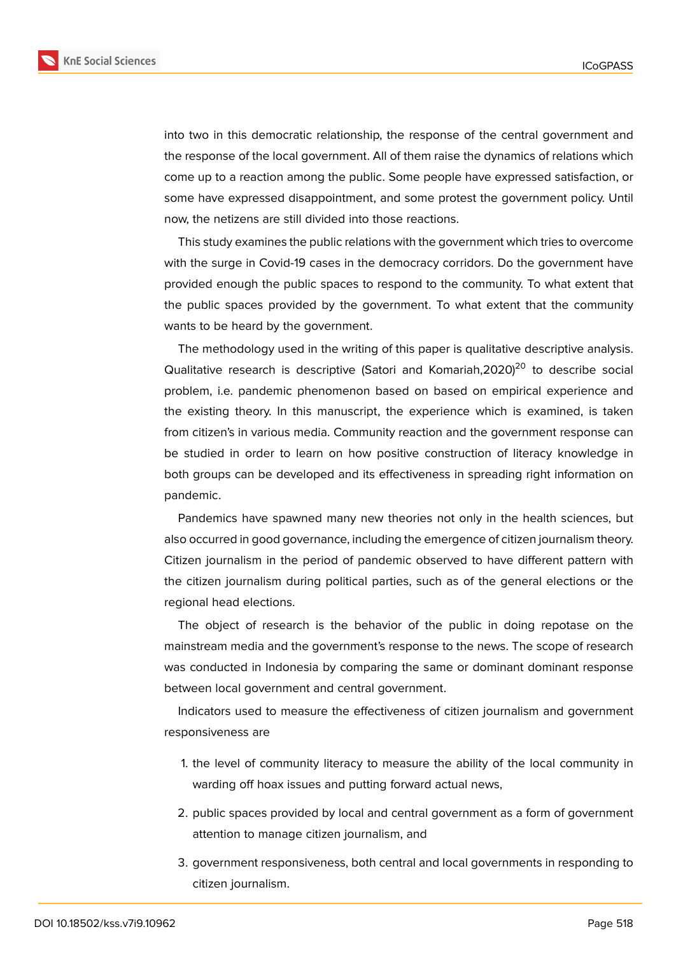

into two in this democratic relationship, the response of the central government and the response of the local government. All of them raise the dynamics of relations which come up to a reaction among the public. Some people have expressed satisfaction, or some have expressed disappointment, and some protest the government policy. Until now, the netizens are still divided into those reactions.

This study examines the public relations with the government which tries to overcome with the surge in Covid-19 cases in the democracy corridors. Do the government have provided enough the public spaces to respond to the community. To what extent that the public spaces provided by the government. To what extent that the community wants to be heard by the government.

The methodology used in the writing of this paper is qualitative descriptive analysis. Qualitative research is descriptive (Satori and Komariah,  $2020$ )<sup>20</sup> to describe social problem, i.e. pandemic phenomenon based on based on empirical experience and the existing theory. In this manuscript, the experience which is examined, is taken from citizen's in various media. Community reaction and the government response can be studied in order to learn on how positive construction of literacy knowledge in both groups can be developed and its effectiveness in spreading right information on pandemic.

Pandemics have spawned many new theories not only in the health sciences, but also occurred in good governance, including the emergence of citizen journalism theory. Citizen journalism in the period of pandemic observed to have different pattern with the citizen journalism during political parties, such as of the general elections or the regional head elections.

The object of research is the behavior of the public in doing repotase on the mainstream media and the government's response to the news. The scope of research was conducted in Indonesia by comparing the same or dominant dominant response between local government and central government.

Indicators used to measure the effectiveness of citizen journalism and government responsiveness are

- 1. the level of community literacy to measure the ability of the local community in warding off hoax issues and putting forward actual news,
- 2. public spaces provided by local and central government as a form of government attention to manage citizen journalism, and
- 3. government responsiveness, both central and local governments in responding to citizen journalism.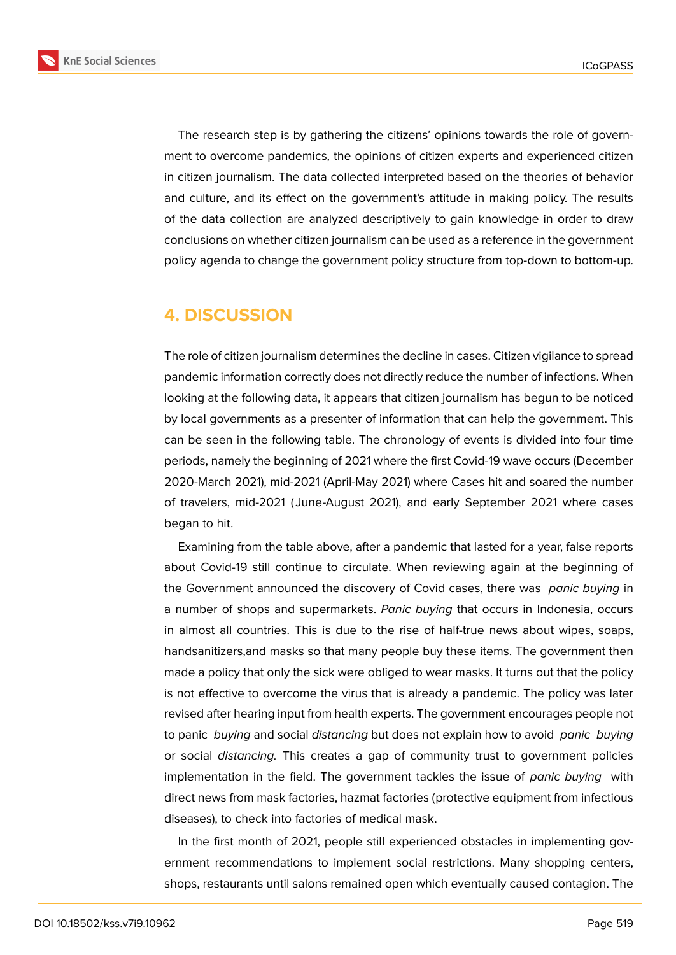

The research step is by gathering the citizens' opinions towards the role of government to overcome pandemics, the opinions of citizen experts and experienced citizen in citizen journalism. The data collected interpreted based on the theories of behavior and culture, and its effect on the government's attitude in making policy. The results of the data collection are analyzed descriptively to gain knowledge in order to draw conclusions on whether citizen journalism can be used as a reference in the government policy agenda to change the government policy structure from top-down to bottom-up.

# **4. DISCUSSION**

The role of citizen journalism determines the decline in cases. Citizen vigilance to spread pandemic information correctly does not directly reduce the number of infections. When looking at the following data, it appears that citizen journalism has begun to be noticed by local governments as a presenter of information that can help the government. This can be seen in the following table. The chronology of events is divided into four time periods, namely the beginning of 2021 where the first Covid-19 wave occurs (December 2020-March 2021), mid-2021 (April-May 2021) where Cases hit and soared the number of travelers, mid-2021 ( June-August 2021), and early September 2021 where cases began to hit.

Examining from the table above, after a pandemic that lasted for a year, false reports about Covid-19 still continue to circulate. When reviewing again at the beginning of the Government announced the discovery of Covid cases, there was *panic buying* in a number of shops and supermarkets. *Panic buying* that occurs in Indonesia, occurs in almost all countries. This is due to the rise of half-true news about wipes, soaps, handsanitizers,and masks so that many people buy these items. The government then made a policy that only the sick were obliged to wear masks. It turns out that the policy is not effective to overcome the virus that is already a pandemic. The policy was later revised after hearing input from health experts. The government encourages people not to panic *buying* and social *distancing* but does not explain how to avoid *panic buying* or social *distancing.* This creates a gap of community trust to government policies implementation in the field. The government tackles the issue of *panic buying* with direct news from mask factories, hazmat factories (protective equipment from infectious diseases), to check into factories of medical mask.

In the first month of 2021, people still experienced obstacles in implementing government recommendations to implement social restrictions. Many shopping centers, shops, restaurants until salons remained open which eventually caused contagion. The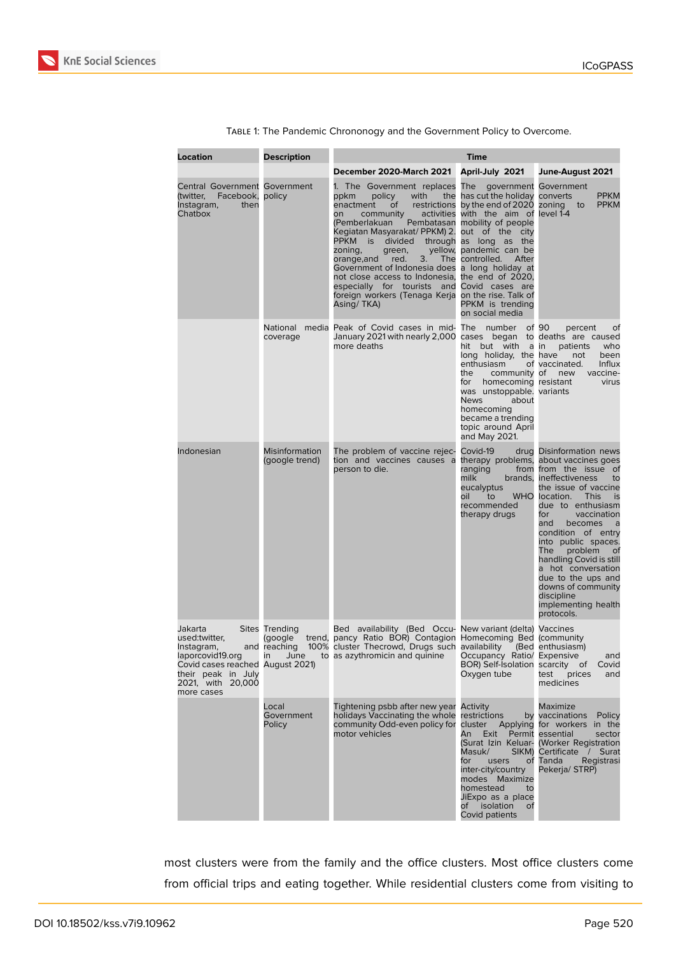

| Location                                                                                                                            | <b>Description</b>                        | Time                                                                                                                                                                                                                                                                                                                                                                                                                                                                                       |                                                                                                                                                                                                                                                  |                                                                                                                                                                                                                                                                                                                                                                                                                                                                                          |  |
|-------------------------------------------------------------------------------------------------------------------------------------|-------------------------------------------|--------------------------------------------------------------------------------------------------------------------------------------------------------------------------------------------------------------------------------------------------------------------------------------------------------------------------------------------------------------------------------------------------------------------------------------------------------------------------------------------|--------------------------------------------------------------------------------------------------------------------------------------------------------------------------------------------------------------------------------------------------|------------------------------------------------------------------------------------------------------------------------------------------------------------------------------------------------------------------------------------------------------------------------------------------------------------------------------------------------------------------------------------------------------------------------------------------------------------------------------------------|--|
|                                                                                                                                     |                                           | December 2020-March 2021                                                                                                                                                                                                                                                                                                                                                                                                                                                                   | April-July 2021                                                                                                                                                                                                                                  | June-August 2021                                                                                                                                                                                                                                                                                                                                                                                                                                                                         |  |
| <b>Central Government Government</b><br>(twitter, Facebook, policy<br>Instagram,<br>then<br>Chatbox                                 |                                           | 1. The Government replaces The<br>policy<br>with<br>ppkm<br>the<br>enactment<br>οf<br>on<br>community<br>(Pemberlakuan<br>Kegiatan Masyarakat/PPKM) 2. out of the city<br>PPKM is divided through as long as the<br>zoning,<br>green,<br>orange, and<br>3.<br>red.<br>Government of Indonesia does a long holiday at<br>not close access to Indonesia, the end of 2020,<br>especially for tourists and Covid cases are<br>foreign workers (Tenaga Kerja on the rise. Talk of<br>Asing/TKA) | has cut the holiday converts<br>restrictions by the end of 2020 zoning to<br>activities with the aim of level 1-4<br>Pembatasan mobility of people<br>yellow, pandemic can be<br>The controlled.<br>After<br>PPKM is trending<br>on social media | government Government<br><b>PPKM</b><br><b>PPKM</b>                                                                                                                                                                                                                                                                                                                                                                                                                                      |  |
|                                                                                                                                     | coverage                                  | National media Peak of Covid cases in mid- The number of 90<br>January 2021 with nearly 2,000 cases began to deaths are caused<br>more deaths                                                                                                                                                                                                                                                                                                                                              | but with a in<br>hit<br>long holiday, the have<br>enthusiasm<br>the<br>community of<br>for<br>homecoming resistant<br>was unstoppable. variants<br>News<br>about<br>homecoming<br>became a trending<br>topic around April<br>and May 2021.       | percent<br>of<br>patients<br>who<br>been<br>not<br>Influx<br>of vaccinated.<br>vaccine-<br>new<br>virus                                                                                                                                                                                                                                                                                                                                                                                  |  |
| Indonesian                                                                                                                          | <b>Misinformation</b><br>(google trend)   | The problem of vaccine rejec-<br>tion and vaccines causes a<br>person to die.                                                                                                                                                                                                                                                                                                                                                                                                              | Covid-19<br>ranging<br>milk<br>eucalyptus<br><b>WHO</b><br>oil<br>to<br>recommended<br>therapy drugs                                                                                                                                             | drug Disinformation news<br>therapy problems, about vaccines goes<br>from from the issue of<br>brands, ineffectiveness<br>to<br>the issue of vaccine<br>location.<br><b>This</b><br>is<br>due to enthusiasm<br>vaccination<br>for<br>becomes<br>and<br>a<br>condition of entry<br>into public spaces.<br>The<br>problem<br><sub>of</sub><br>handling Covid is still<br>a hot conversation<br>due to the ups and<br>downs of community<br>discipline<br>implementing health<br>protocols. |  |
| Jakarta<br>used:twitter,<br>Instagram,<br>Covid cases reached August 2021)<br>their peak in July<br>2021, with 20,000<br>more cases | Sites Trending<br>(google<br>and reaching | Bed availability (Bed Occu- New variant (delta) Vaccines<br>trend, pancy Ratio BOR) Contagion Homecoming Bed (community<br>100% cluster Thecrowd, Drugs such availability (Bed enthusiasm)<br>laporcovid19.org in June to as azythromicin and quinine Occupancy Ratio/ Expensive                                                                                                                                                                                                           | BOR) Self-Isolation scarcity of<br>Oxygen tube                                                                                                                                                                                                   | and<br>Covid<br>test<br>prices<br>and<br>medicines                                                                                                                                                                                                                                                                                                                                                                                                                                       |  |
|                                                                                                                                     | Local<br>Government<br>Policy             | Tightening psbb after new year Activity<br>holidays Vaccinating the whole<br>community Odd-even policy for<br>motor vehicles                                                                                                                                                                                                                                                                                                                                                               | restrictions<br>cluster<br>An<br>Exit<br>Masuk/<br>for<br>users<br>inter-city/country<br>modes Maximize<br>homestead<br>to<br>JiExpo as a place<br>of isolation<br>of<br>Covid patients                                                          | Maximize<br>by vaccinations Policy<br>Applying for workers in the<br>Permit essential<br>sector<br>(Surat Izin Keluar- (Worker Registration<br>SIKM) Certificate / Surat<br>of Tanda<br>Registrasi<br>Pekerja/STRP)                                                                                                                                                                                                                                                                      |  |

Table 1: The Pandemic Chrononogy and the Government Policy to Overcome.

most clusters were from the family and the office clusters. Most office clusters come from official trips and eating together. While residential clusters come from visiting to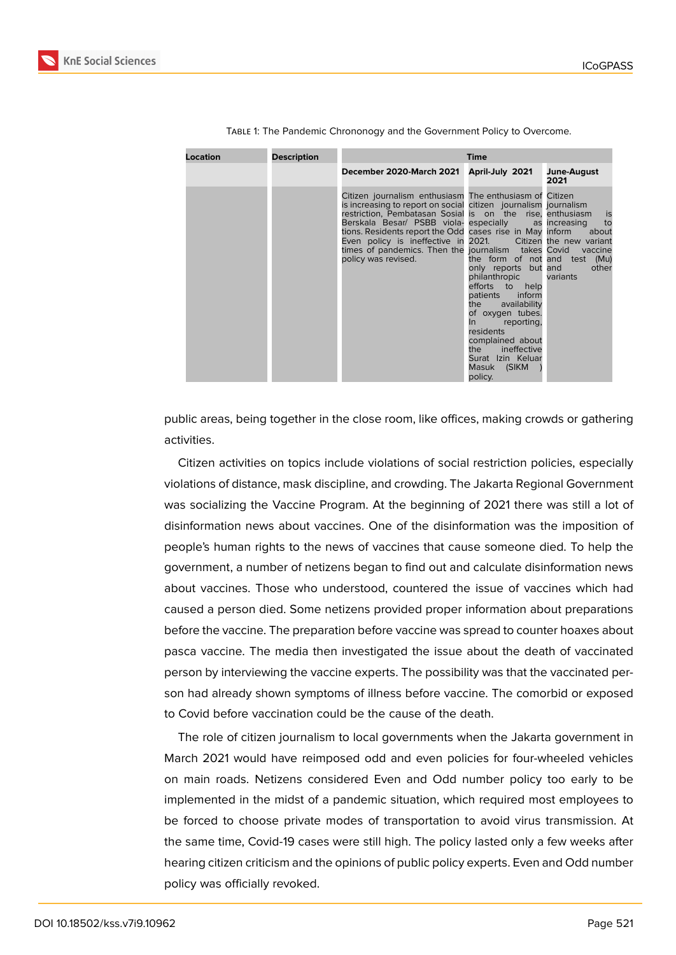| Location | <b>Description</b> | Time                                                                                                                                                                                                                                                                                                                                                                                                                                                             |                                                                                                                                                                                                                                                                                                |                                        |  |
|----------|--------------------|------------------------------------------------------------------------------------------------------------------------------------------------------------------------------------------------------------------------------------------------------------------------------------------------------------------------------------------------------------------------------------------------------------------------------------------------------------------|------------------------------------------------------------------------------------------------------------------------------------------------------------------------------------------------------------------------------------------------------------------------------------------------|----------------------------------------|--|
|          |                    | December 2020-March 2021                                                                                                                                                                                                                                                                                                                                                                                                                                         | April-July 2021                                                                                                                                                                                                                                                                                | June-August<br>2021                    |  |
|          |                    | Citizen journalism enthusiasm The enthusiasm of Citizen<br>is increasing to report on social citizen journalism journalism<br>restriction, Pembatasan Sosial is on the rise, enthusiasm<br>Berskala Besar/ PSBB viola- especially as increasing<br>tions. Residents report the Odd cases rise in May inform<br>Even policy is ineffective in 2021. Citizen the new variant<br>times of pandemics. Then the journalism takes Covid vaccine<br>policy was revised. | the form of not and test (Mu)<br>only reports but and<br>philanthropic<br>efforts to help<br>inform<br>patients<br>availability<br>the<br>of oxygen tubes.<br>reporting,<br>$\ln$ $\sim$<br>residents<br>complained about<br>ineffective<br>the<br>Surat Izin Keluar<br>Masuk (SIKM<br>policy. | is<br>to<br>about<br>other<br>variants |  |

Table 1: The Pandemic Chrononogy and the Government Policy to Overcome.

public areas, being together in the close room, like offices, making crowds or gathering activities.

Citizen activities on topics include violations of social restriction policies, especially violations of distance, mask discipline, and crowding. The Jakarta Regional Government was socializing the Vaccine Program. At the beginning of 2021 there was still a lot of disinformation news about vaccines. One of the disinformation was the imposition of people's human rights to the news of vaccines that cause someone died. To help the government, a number of netizens began to find out and calculate disinformation news about vaccines. Those who understood, countered the issue of vaccines which had caused a person died. Some netizens provided proper information about preparations before the vaccine. The preparation before vaccine was spread to counter hoaxes about pasca vaccine. The media then investigated the issue about the death of vaccinated person by interviewing the vaccine experts. The possibility was that the vaccinated person had already shown symptoms of illness before vaccine. The comorbid or exposed to Covid before vaccination could be the cause of the death.

The role of citizen journalism to local governments when the Jakarta government in March 2021 would have reimposed odd and even policies for four-wheeled vehicles on main roads. Netizens considered Even and Odd number policy too early to be implemented in the midst of a pandemic situation, which required most employees to be forced to choose private modes of transportation to avoid virus transmission. At the same time, Covid-19 cases were still high. The policy lasted only a few weeks after hearing citizen criticism and the opinions of public policy experts. Even and Odd number policy was officially revoked.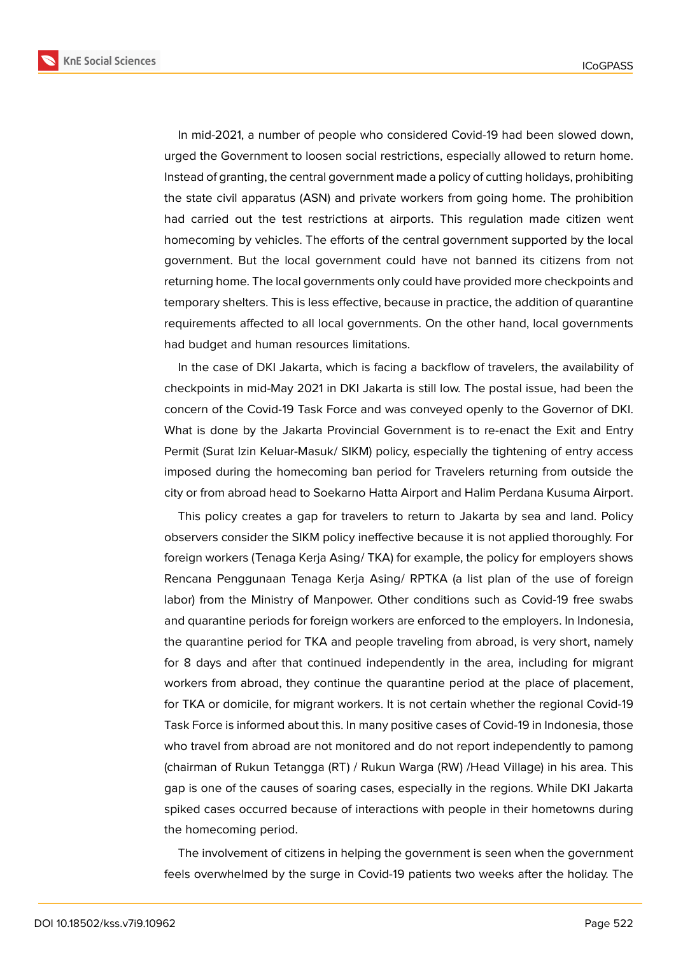

In mid-2021, a number of people who considered Covid-19 had been slowed down, urged the Government to loosen social restrictions, especially allowed to return home. Instead of granting, the central government made a policy of cutting holidays, prohibiting the state civil apparatus (ASN) and private workers from going home. The prohibition had carried out the test restrictions at airports. This regulation made citizen went homecoming by vehicles. The efforts of the central government supported by the local government. But the local government could have not banned its citizens from not returning home. The local governments only could have provided more checkpoints and temporary shelters. This is less effective, because in practice, the addition of quarantine requirements affected to all local governments. On the other hand, local governments had budget and human resources limitations.

In the case of DKI Jakarta, which is facing a backflow of travelers, the availability of checkpoints in mid-May 2021 in DKI Jakarta is still low. The postal issue, had been the concern of the Covid-19 Task Force and was conveyed openly to the Governor of DKI. What is done by the Jakarta Provincial Government is to re-enact the Exit and Entry Permit (Surat Izin Keluar-Masuk/ SIKM) policy, especially the tightening of entry access imposed during the homecoming ban period for Travelers returning from outside the city or from abroad head to Soekarno Hatta Airport and Halim Perdana Kusuma Airport.

This policy creates a gap for travelers to return to Jakarta by sea and land. Policy observers consider the SIKM policy ineffective because it is not applied thoroughly. For foreign workers (Tenaga Kerja Asing/ TKA) for example, the policy for employers shows Rencana Penggunaan Tenaga Kerja Asing/ RPTKA (a list plan of the use of foreign labor) from the Ministry of Manpower. Other conditions such as Covid-19 free swabs and quarantine periods for foreign workers are enforced to the employers. In Indonesia, the quarantine period for TKA and people traveling from abroad, is very short, namely for 8 days and after that continued independently in the area, including for migrant workers from abroad, they continue the quarantine period at the place of placement, for TKA or domicile, for migrant workers. It is not certain whether the regional Covid-19 Task Force is informed about this. In many positive cases of Covid-19 in Indonesia, those who travel from abroad are not monitored and do not report independently to pamong (chairman of Rukun Tetangga (RT) / Rukun Warga (RW) /Head Village) in his area. This gap is one of the causes of soaring cases, especially in the regions. While DKI Jakarta spiked cases occurred because of interactions with people in their hometowns during the homecoming period.

The involvement of citizens in helping the government is seen when the government feels overwhelmed by the surge in Covid-19 patients two weeks after the holiday. The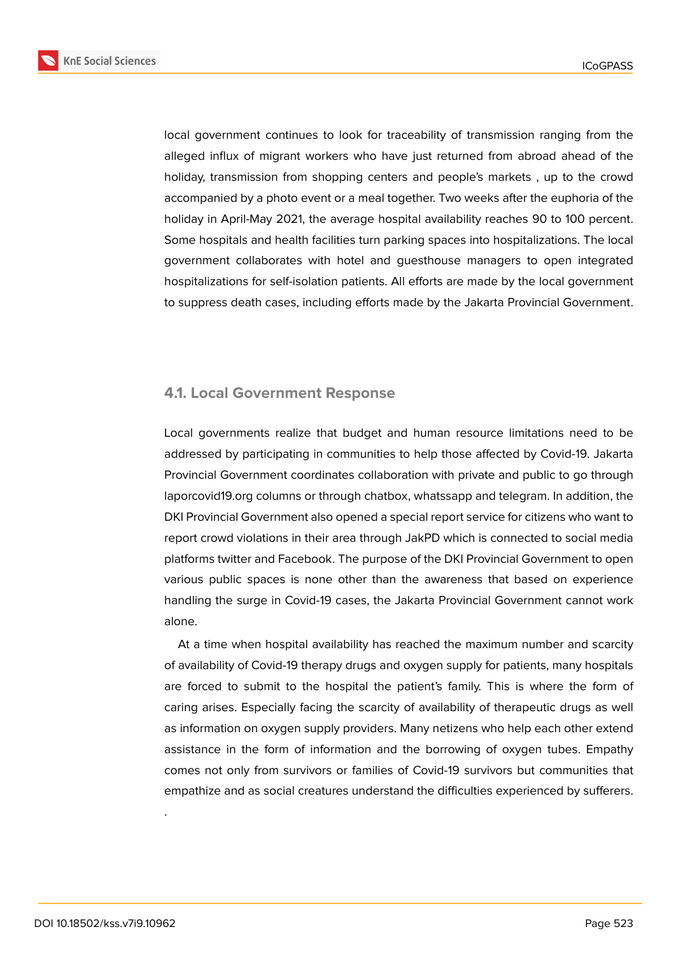

local government continues to look for traceability of transmission ranging from the alleged influx of migrant workers who have just returned from abroad ahead of the holiday, transmission from shopping centers and people's markets , up to the crowd accompanied by a photo event or a meal together. Two weeks after the euphoria of the

holiday in April-May 2021, the average hospital availability reaches 90 to 100 percent. Some hospitals and health facilities turn parking spaces into hospitalizations. The local government collaborates with hotel and guesthouse managers to open integrated hospitalizations for self-isolation patients. All efforts are made by the local government to suppress death cases, including efforts made by the Jakarta Provincial Government.

#### **4.1. Local Government Response**

Local governments realize that budget and human resource limitations need to be addressed by participating in communities to help those affected by Covid-19. Jakarta Provincial Government coordinates collaboration with private and public to go through laporcovid19.org columns or through chatbox, whatssapp and telegram. In addition, the DKI Provincial Government also opened a special report service for citizens who want to report crowd violations in their area through JakPD which is connected to social media platforms twitter and Facebook. The purpose of the DKI Provincial Government to open various public spaces is none other than the awareness that based on experience handling the surge in Covid-19 cases, the Jakarta Provincial Government cannot work alone.

At a time when hospital availability has reached the maximum number and scarcity of availability of Covid-19 therapy drugs and oxygen supply for patients, many hospitals are forced to submit to the hospital the patient's family. This is where the form of caring arises. Especially facing the scarcity of availability of therapeutic drugs as well as information on oxygen supply providers. Many netizens who help each other extend assistance in the form of information and the borrowing of oxygen tubes. Empathy comes not only from survivors or families of Covid-19 survivors but communities that empathize and as social creatures understand the difficulties experienced by sufferers.

.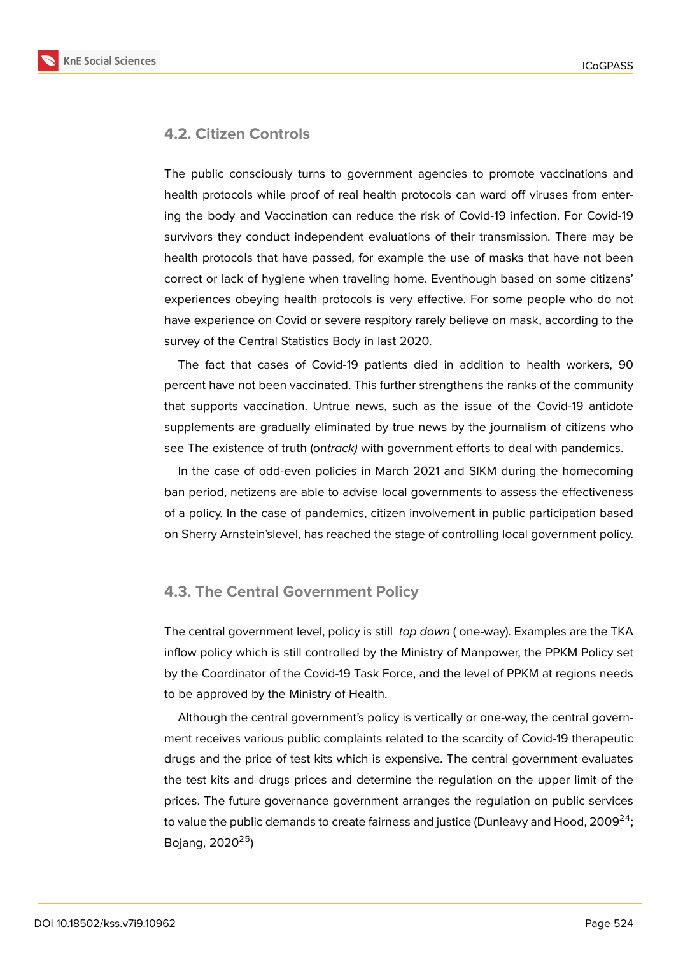# **4.2. Citizen Controls**

The public consciously turns to government agencies to promote vaccinations and health protocols while proof of real health protocols can ward off viruses from entering the body and Vaccination can reduce the risk of Covid-19 infection. For Covid-19 survivors they conduct independent evaluations of their transmission. There may be health protocols that have passed, for example the use of masks that have not been correct or lack of hygiene when traveling home. Eventhough based on some citizens' experiences obeying health protocols is very effective. For some people who do not have experience on Covid or severe respitory rarely believe on mask, according to the survey of the Central Statistics Body in last 2020.

The fact that cases of Covid-19 patients died in addition to health workers, 90 percent have not been vaccinated. This further strengthens the ranks of the community that supports vaccination. Untrue news, such as the issue of the Covid-19 antidote supplements are gradually eliminated by true news by the journalism of citizens who see The existence of truth (on*track)* with government efforts to deal with pandemics.

In the case of odd-even policies in March 2021 and SIKM during the homecoming ban period, netizens are able to advise local governments to assess the effectiveness of a policy. In the case of pandemics, citizen involvement in public participation based on Sherry Arnstein'slevel, has reached the stage of controlling local government policy.

# **4.3. The Central Government Policy**

The central government level, policy is still *top down* ( one-way). Examples are the TKA inflow policy which is still controlled by the Ministry of Manpower, the PPKM Policy set by the Coordinator of the Covid-19 Task Force, and the level of PPKM at regions needs to be approved by the Ministry of Health.

Although the central government's policy is vertically or one-way, the central government receives various public complaints related to the scarcity of Covid-19 therapeutic drugs and the price of test kits which is expensive. The central government evaluates the test kits and drugs prices and determine the regulation on the upper limit of the prices. The future governance government arranges the regulation on public services to value the public demands to create fairness and justice (Dunleavy and Hood,  $2009^{24}$ ; Bojang,  $2020^{25}$ )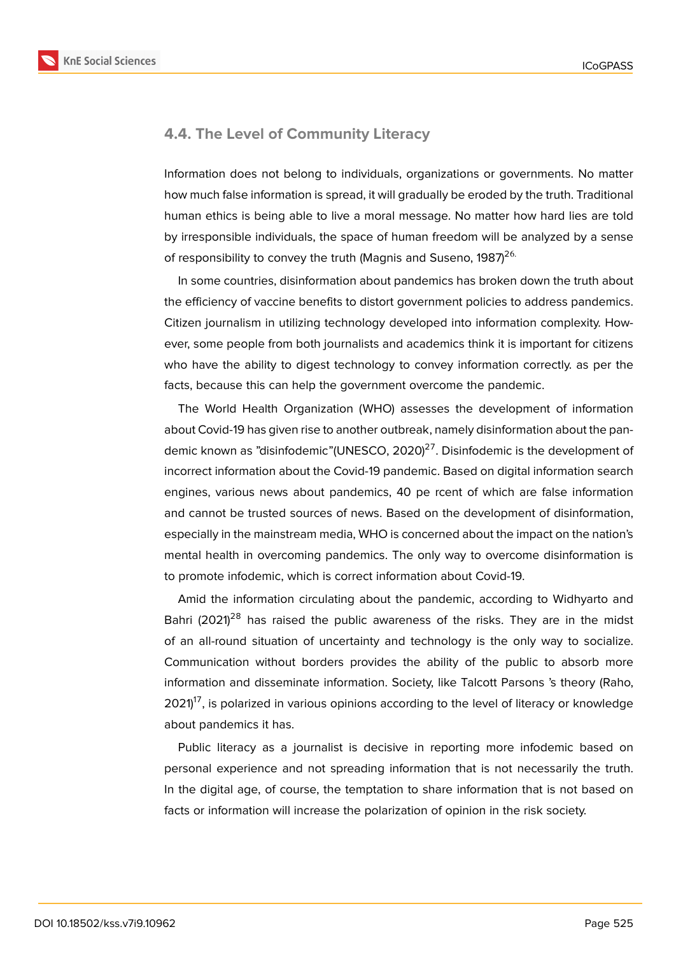

### **4.4. The Level of Community Literacy**

Information does not belong to individuals, organizations or governments. No matter how much false information is spread, it will gradually be eroded by the truth. Traditional human ethics is being able to live a moral message. No matter how hard lies are told by irresponsible individuals, the space of human freedom will be analyzed by a sense of responsibility to convey the truth (Magnis and Suseno,  $1987^{26}$ .

In some countries, disinformation about pandemics has broken down the truth about the efficiency of vaccine benefits to distort government policies to address pandemics. Citizen journalism in utilizing technology developed into information complexity. However, some people from both journalists and academics think it is important for citizens who have the ability to digest technology to convey information correctly. as per the facts, because this can help the government overcome the pandemic.

The World Health Organization (WHO) assesses the development of information about Covid-19 has given rise to another outbreak, namely disinformation about the pandemic known as "disinfodemic" (UNESCO, 2020) $^{27}$ . Disinfodemic is the development of incorrect information about the Covid-19 pandemic. Based on digital information search engines, various news about pandemics, 40 pe rcent of which are false information and cannot be trusted sources of news. Based on the development of disinformation, especially in the mainstream media, WHO is concerned about the impact on the nation's mental health in overcoming pandemics. The only way to overcome disinformation is to promote infodemic, which is correct information about Covid-19.

Amid the information circulating about the pandemic, according to Widhyarto and Bahri (2021)<sup>28</sup> has raised the public awareness of the risks. They are in the midst of an all-round situation of uncertainty and technology is the only way to socialize. Communication without borders provides the ability of the public to absorb more information and disseminate information. Society, like Talcott Parsons 's theory (Raho,  $2021<sup>17</sup>$ , is polarized in various opinions according to the level of literacy or knowledge about pandemics it has.

Public literacy as a journalist is decisive in reporting more infodemic based on personal experience and not spreading information that is not necessarily the truth. In the digital age, of course, the temptation to share information that is not based on facts or information will increase the polarization of opinion in the risk society.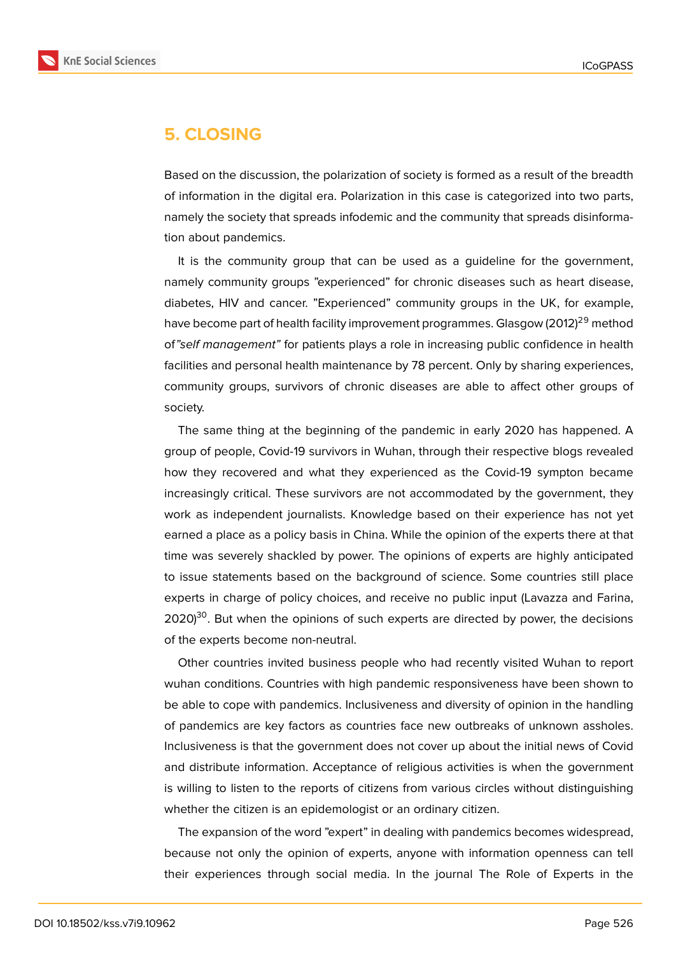

# **5. CLOSING**

Based on the discussion, the polarization of society is formed as a result of the breadth of information in the digital era. Polarization in this case is categorized into two parts, namely the society that spreads infodemic and the community that spreads disinformation about pandemics.

It is the community group that can be used as a guideline for the government, namely community groups "experienced" for chronic diseases such as heart disease, diabetes, HIV and cancer. "Experienced" community groups in the UK, for example, have become part of health facility improvement programmes. Glasgow (2012)<sup>29</sup> method of*"self management"* for patients plays a role in increasing public confidence in health facilities and personal health maintenance by 78 percent. Only by sharing experiences, community groups, survivors of chronic diseases are able to affect other groups of society.

The same thing at the beginning of the pandemic in early 2020 has happened. A group of people, Covid-19 survivors in Wuhan, through their respective blogs revealed how they recovered and what they experienced as the Covid-19 sympton became increasingly critical. These survivors are not accommodated by the government, they work as independent journalists. Knowledge based on their experience has not yet earned a place as a policy basis in China. While the opinion of the experts there at that time was severely shackled by power. The opinions of experts are highly anticipated to issue statements based on the background of science. Some countries still place experts in charge of policy choices, and receive no public input (Lavazza and Farina,  $2020$ <sup>30</sup>. But when the opinions of such experts are directed by power, the decisions of the experts become non-neutral.

Other countries invited business people who had recently visited Wuhan to report wuhan conditions. Countries with high pandemic responsiveness have been shown to be able to cope with pandemics. Inclusiveness and diversity of opinion in the handling of pandemics are key factors as countries face new outbreaks of unknown assholes. Inclusiveness is that the government does not cover up about the initial news of Covid and distribute information. Acceptance of religious activities is when the government is willing to listen to the reports of citizens from various circles without distinguishing whether the citizen is an epidemologist or an ordinary citizen.

The expansion of the word "expert" in dealing with pandemics becomes widespread, because not only the opinion of experts, anyone with information openness can tell their experiences through social media. In the journal The Role of Experts in the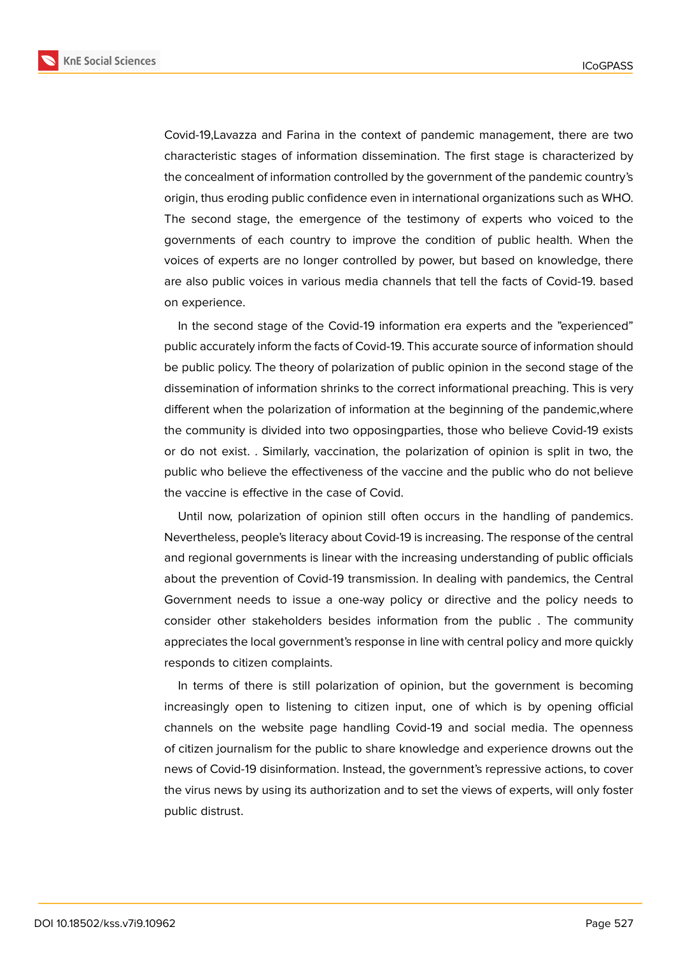

Covid-19,Lavazza and Farina in the context of pandemic management, there are two characteristic stages of information dissemination. The first stage is characterized by the concealment of information controlled by the government of the pandemic country's origin, thus eroding public confidence even in international organizations such as WHO. The second stage, the emergence of the testimony of experts who voiced to the governments of each country to improve the condition of public health. When the voices of experts are no longer controlled by power, but based on knowledge, there are also public voices in various media channels that tell the facts of Covid-19. based on experience.

In the second stage of the Covid-19 information era experts and the "experienced" public accurately inform the facts of Covid-19. This accurate source of information should be public policy. The theory of polarization of public opinion in the second stage of the dissemination of information shrinks to the correct informational preaching. This is very different when the polarization of information at the beginning of the pandemic,where the community is divided into two opposingparties, those who believe Covid-19 exists or do not exist. . Similarly, vaccination, the polarization of opinion is split in two, the public who believe the effectiveness of the vaccine and the public who do not believe the vaccine is effective in the case of Covid.

Until now, polarization of opinion still often occurs in the handling of pandemics. Nevertheless, people's literacy about Covid-19 is increasing. The response of the central and regional governments is linear with the increasing understanding of public officials about the prevention of Covid-19 transmission. In dealing with pandemics, the Central Government needs to issue a one-way policy or directive and the policy needs to consider other stakeholders besides information from the public . The community appreciates the local government's response in line with central policy and more quickly responds to citizen complaints.

In terms of there is still polarization of opinion, but the government is becoming increasingly open to listening to citizen input, one of which is by opening official channels on the website page handling Covid-19 and social media. The openness of citizen journalism for the public to share knowledge and experience drowns out the news of Covid-19 disinformation. Instead, the government's repressive actions, to cover the virus news by using its authorization and to set the views of experts, will only foster public distrust.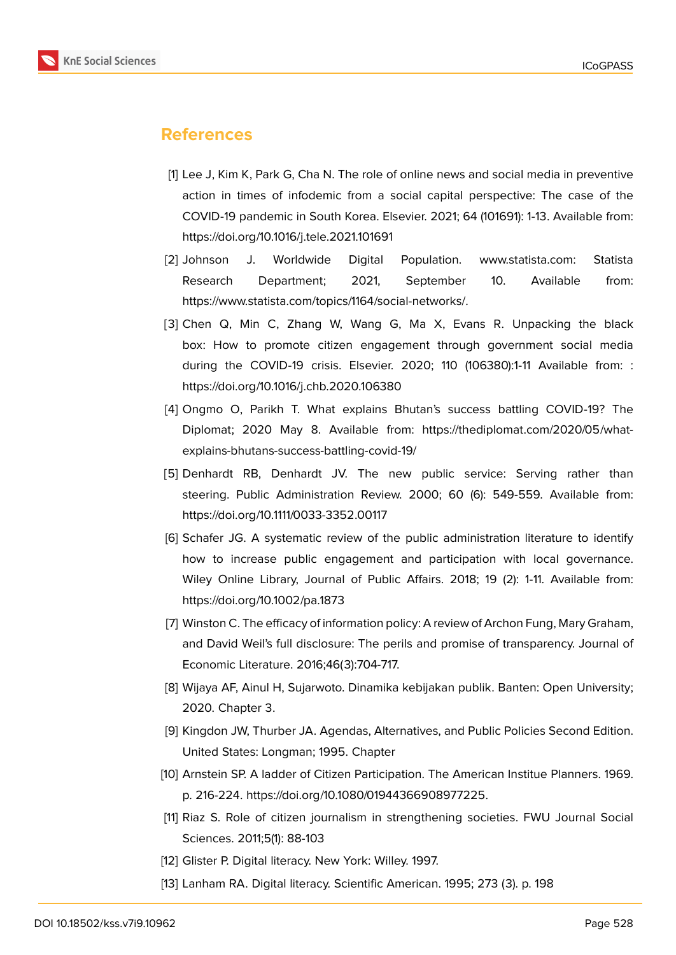

# **References**

- [1] Lee J, Kim K, Park G, Cha N. The role of online news and social media in preventive action in times of infodemic from a social capital perspective: The case of the COVID-19 pandemic in South Korea. Elsevier. 2021; 64 (101691): 1-13. Available from: https://doi.org/10.1016/j.tele.2021.101691
- [2] Johnson J. Worldwide Digital Population. www.statista.com: Statista Research Department; 2021, September 10. Available from: https://www.statista.com/topics/1164/social-networks/.
- [3] Chen Q, Min C, Zhang W, Wang G, Ma X, Evans R. Unpacking the black box: How to promote citizen engagement through government social media during the COVID-19 crisis. Elsevier. 2020; 110 (106380):1-11 Available from: : https://doi.org/10.1016/j.chb.2020.106380
- [4] Ongmo O, Parikh T. What explains Bhutan's success battling COVID-19? The Diplomat; 2020 May 8. Available from: https://thediplomat.com/2020/05/whatexplains-bhutans-success-battling-covid-19/
- [5] Denhardt RB, Denhardt JV. The new public service: Serving rather than steering. Public Administration Review. 2000; 60 (6): 549-559. Available from: https://doi.org/10.1111/0033-3352.00117
- [6] Schafer JG. A systematic review of the public administration literature to identify how to increase public engagement and participation with local governance. Wiley Online Library, Journal of Public Affairs. 2018; 19 (2): 1-11. Available from: https://doi.org/10.1002/pa.1873
- [7] Winston C. The efficacy of information policy: A review of Archon Fung, Mary Graham, and David Weil's full disclosure: The perils and promise of transparency. Journal of Economic Literature. 2016;46(3):704-717.
- [8] Wijaya AF, Ainul H, Sujarwoto. Dinamika kebijakan publik. Banten: Open University; 2020. Chapter 3.
- [9] Kingdon JW, Thurber JA. Agendas, Alternatives, and Public Policies Second Edition. United States: Longman; 1995. Chapter
- [10] Arnstein SP. A ladder of Citizen Participation. The American Institue Planners. 1969. p. 216-224. https://doi.org/10.1080/01944366908977225.
- [11] Riaz S. Role of citizen journalism in strengthening societies. FWU Journal Social Sciences. 2011;5(1): 88-103
- [12] Glister P. Digital literacy. New York: Willey. 1997.
- [13] Lanham RA. Digital literacy. Scientific American. 1995; 273 (3). p. 198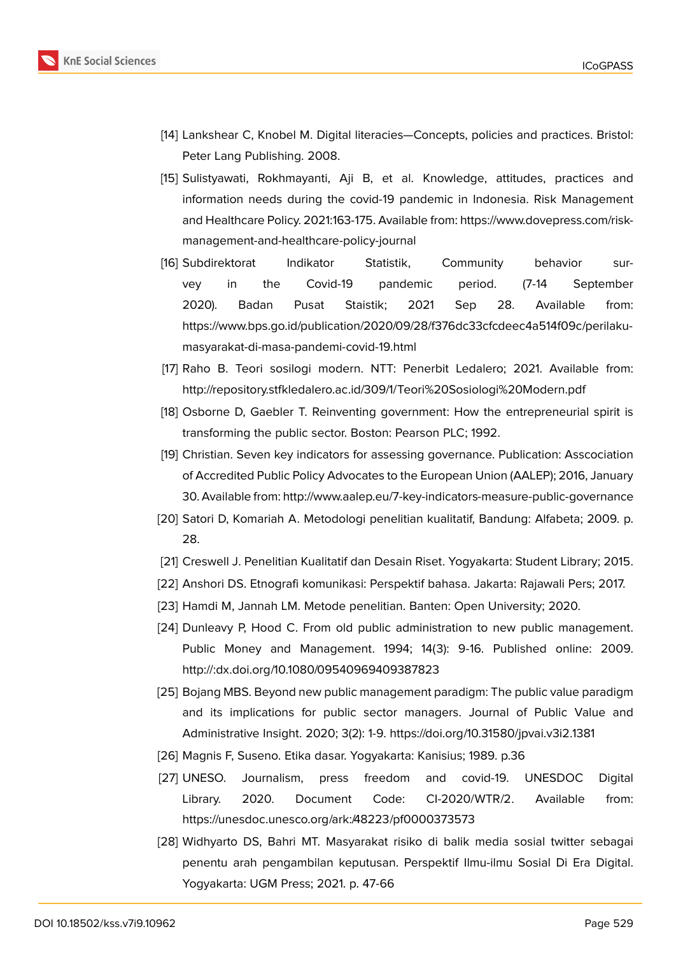

- [14] Lankshear C, Knobel M. Digital literacies—Concepts, policies and practices. Bristol: Peter Lang Publishing. 2008.
- [15] Sulistyawati, Rokhmayanti, Aji B, et al. Knowledge, attitudes, practices and information needs during the covid-19 pandemic in Indonesia. Risk Management and Healthcare Policy. 2021:163-175. Available from: https://www.dovepress.com/riskmanagement-and-healthcare-policy-journal
- [16] Subdirektorat Indikator Statistik, Community behavior survey in the Covid-19 pandemic period. (7-14 September 2020). Badan Pusat Staistik; 2021 Sep 28. Available from: https://www.bps.go.id/publication/2020/09/28/f376dc33cfcdeec4a514f09c/perilakumasyarakat-di-masa-pandemi-covid-19.html
- [17] Raho B. Teori sosilogi modern. NTT: Penerbit Ledalero; 2021. Available from: http://repository.stfkledalero.ac.id/309/1/Teori%20Sosiologi%20Modern.pdf
- [18] Osborne D, Gaebler T. Reinventing government: How the entrepreneurial spirit is transforming the public sector. Boston: Pearson PLC; 1992.
- [19] Christian. Seven key indicators for assessing governance. Publication: Asscociation of Accredited Public Policy Advocates to the European Union (AALEP); 2016, January 30. Available from: http://www.aalep.eu/7-key-indicators-measure-public-governance
- [20] Satori D, Komariah A. Metodologi penelitian kualitatif, Bandung: Alfabeta; 2009. p. 28.
- [21] Creswell J. Penelitian Kualitatif dan Desain Riset. Yogyakarta: Student Library; 2015.
- [22] Anshori DS. Etnografi komunikasi: Perspektif bahasa. Jakarta: Rajawali Pers; 2017.
- [23] Hamdi M, Jannah LM. Metode penelitian. Banten: Open University; 2020.
- [24] Dunleavy P, Hood C. From old public administration to new public management. Public Money and Management. 1994; 14(3): 9-16. Published online: 2009. http://:dx.doi.org/10.1080/09540969409387823
- [25] Bojang MBS. Beyond new public management paradigm: The public value paradigm and its implications for public sector managers. Journal of Public Value and Administrative Insight. 2020; 3(2): 1-9. https://doi.org/10.31580/jpvai.v3i2.1381
- [26] Magnis F, Suseno. Etika dasar. Yogyakarta: Kanisius; 1989. p.36
- [27] UNESO. Journalism, press freedom and covid-19. UNESDOC Digital Library. 2020. Document Code: CI-2020/WTR/2. Available from: https://unesdoc.unesco.org/ark:/48223/pf0000373573
- [28] Widhyarto DS, Bahri MT. Masyarakat risiko di balik media sosial twitter sebagai penentu arah pengambilan keputusan. Perspektif Ilmu-ilmu Sosial Di Era Digital. Yogyakarta: UGM Press; 2021. p. 47-66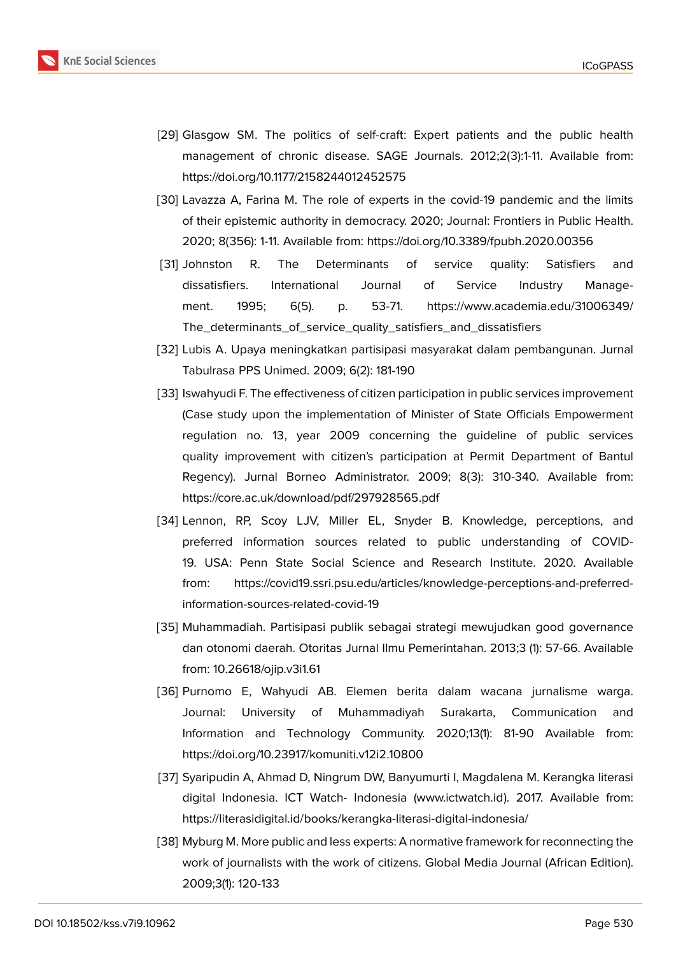- [29] Glasgow SM. The politics of self-craft: Expert patients and the public health management of chronic disease. SAGE Journals. 2012;2(3):1-11. Available from: https://doi.org/10.1177/2158244012452575
- [30] Lavazza A, Farina M. The role of experts in the covid-19 pandemic and the limits of their epistemic authority in democracy. 2020; Journal: Frontiers in Public Health. 2020; 8(356): 1-11. Available from: https://doi.org/10.3389/fpubh.2020.00356
- [31] Johnston R. The Determinants of service quality: Satisfiers and dissatisfiers. International Journal of Service Industry Management. 1995; 6(5). p. 53-71. https://www.academia.edu/31006349/ The\_determinants\_of\_service\_quality\_satisfiers\_and\_dissatisfiers
- [32] Lubis A. Upaya meningkatkan partisipasi masyarakat dalam pembangunan. Jurnal Tabulrasa PPS Unimed. 2009; 6(2): 181-190
- [33] [Iswahyudi F. The effectiveness of citizen participation in public servic](https://www.academia.edu/31006349/The_determinants_of_service_quality_satisfiers_and_dissatisfiers)es improvement (Case study upon the implementation of Minister of State Officials Empowerment regulation no. 13, year 2009 concerning the guideline of public services quality improvement with citizen's participation at Permit Department of Bantul Regency). Jurnal Borneo Administrator. 2009; 8(3): 310-340. Available from: https://core.ac.uk/download/pdf/297928565.pdf
- [34] Lennon, RP, Scoy LJV, Miller EL, Snyder B. Knowledge, perceptions, and preferred information sources related to public understanding of COVID-19. USA: Penn State Social Science and Research Institute. 2020. Available from: https://covid19.ssri.psu.edu/articles/knowledge-perceptions-and-preferredinformation-sources-related-covid-19
- [35] Muhammadiah. Partisipasi publik sebagai strategi mewujudkan good governance dan otonomi daerah. Otoritas Jurnal Ilmu Pemerintahan. 2013;3 (1): 57-66. Available from: 10.26618/ojip.v3i1.61
- [36] Purnomo E, Wahyudi AB. Elemen berita dalam wacana jurnalisme warga. Journal: University of Muhammadiyah Surakarta, Communication and Information and Technology Community. 2020;13(1): 81-90 Available from: https://doi.org/10.23917/komuniti.v12i2.10800
- [37] Syaripudin A, Ahmad D, Ningrum DW, Banyumurti I, Magdalena M. Kerangka literasi digital Indonesia. ICT Watch- Indonesia (www.ictwatch.id). 2017. Available from: https://literasidigital.id/books/kerangka-literasi-digital-indonesia/
- [38] Myburg M. More public and less experts: A normative framework for reconnecting the work of journalists with the work of citizens. Global Media Journal (African Edition). 2009;3(1): 120-133